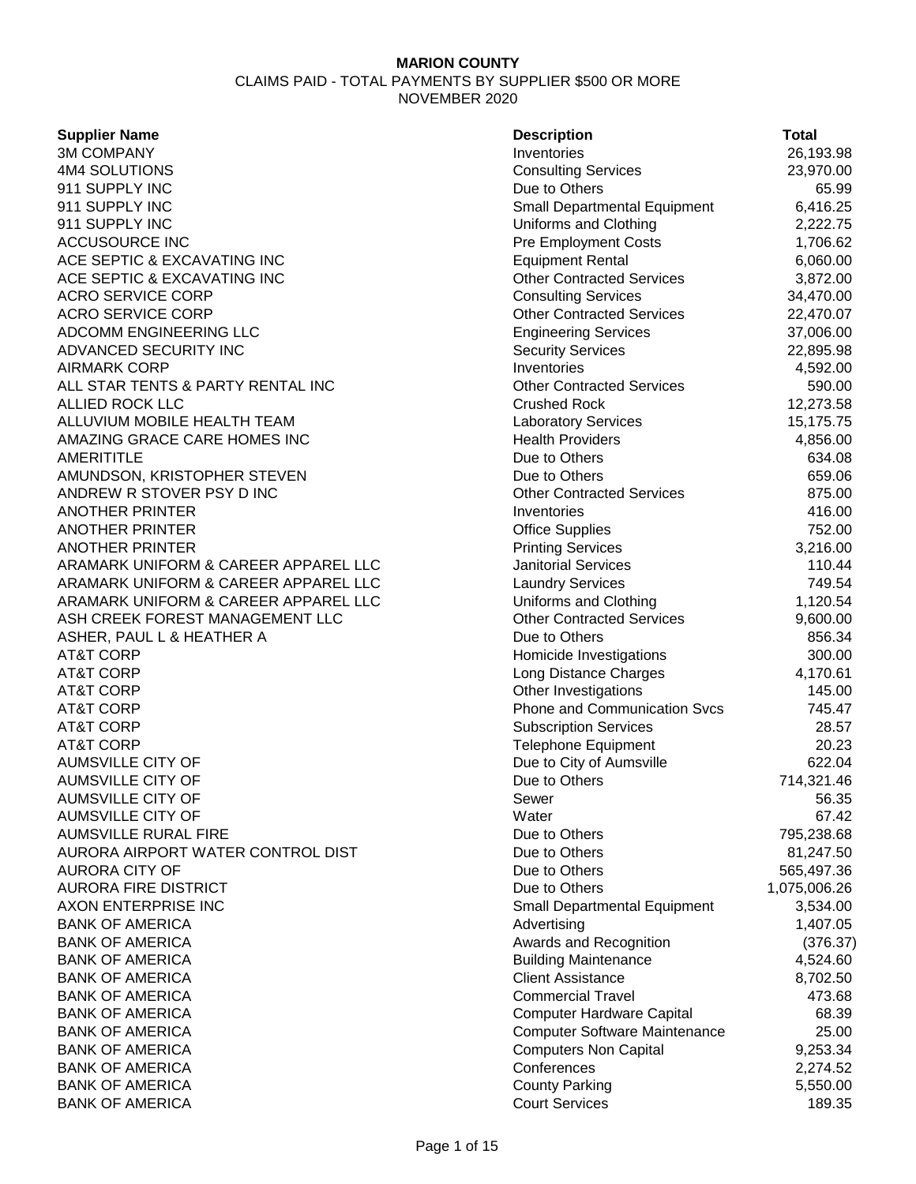| <b>Supplier Name</b>                 | <b>Description</b>                   | Total        |
|--------------------------------------|--------------------------------------|--------------|
| <b>3M COMPANY</b>                    | Inventories                          | 26,193.98    |
| 4M4 SOLUTIONS                        | <b>Consulting Services</b>           | 23,970.00    |
| 911 SUPPLY INC                       | Due to Others                        | 65.99        |
| 911 SUPPLY INC                       | Small Departmental Equipment         | 6,416.25     |
| 911 SUPPLY INC                       | Uniforms and Clothing                | 2,222.75     |
| <b>ACCUSOURCE INC</b>                | <b>Pre Employment Costs</b>          | 1,706.62     |
| ACE SEPTIC & EXCAVATING INC          | <b>Equipment Rental</b>              | 6,060.00     |
| ACE SEPTIC & EXCAVATING INC          | <b>Other Contracted Services</b>     | 3,872.00     |
| <b>ACRO SERVICE CORP</b>             | <b>Consulting Services</b>           | 34,470.00    |
| <b>ACRO SERVICE CORP</b>             | <b>Other Contracted Services</b>     | 22,470.07    |
| ADCOMM ENGINEERING LLC               | <b>Engineering Services</b>          | 37,006.00    |
| ADVANCED SECURITY INC                | <b>Security Services</b>             | 22,895.98    |
| <b>AIRMARK CORP</b>                  | Inventories                          | 4,592.00     |
| ALL STAR TENTS & PARTY RENTAL INC    | <b>Other Contracted Services</b>     | 590.00       |
| <b>ALLIED ROCK LLC</b>               | <b>Crushed Rock</b>                  | 12,273.58    |
| ALLUVIUM MOBILE HEALTH TEAM          | <b>Laboratory Services</b>           | 15,175.75    |
| AMAZING GRACE CARE HOMES INC         | <b>Health Providers</b>              | 4,856.00     |
| <b>AMERITITLE</b>                    | Due to Others                        | 634.08       |
| AMUNDSON, KRISTOPHER STEVEN          | Due to Others                        | 659.06       |
| ANDREW R STOVER PSY D INC            | <b>Other Contracted Services</b>     | 875.00       |
| <b>ANOTHER PRINTER</b>               | Inventories                          | 416.00       |
| <b>ANOTHER PRINTER</b>               | <b>Office Supplies</b>               | 752.00       |
| <b>ANOTHER PRINTER</b>               | <b>Printing Services</b>             | 3,216.00     |
| ARAMARK UNIFORM & CAREER APPAREL LLC | <b>Janitorial Services</b>           | 110.44       |
| ARAMARK UNIFORM & CAREER APPAREL LLC | <b>Laundry Services</b>              | 749.54       |
| ARAMARK UNIFORM & CAREER APPAREL LLC | Uniforms and Clothing                | 1,120.54     |
| ASH CREEK FOREST MANAGEMENT LLC      | <b>Other Contracted Services</b>     | 9,600.00     |
| ASHER, PAUL L & HEATHER A            | Due to Others                        | 856.34       |
| <b>AT&amp;T CORP</b>                 | Homicide Investigations              | 300.00       |
| <b>AT&amp;T CORP</b>                 | Long Distance Charges                | 4,170.61     |
| <b>AT&amp;T CORP</b>                 | Other Investigations                 | 145.00       |
| <b>AT&amp;T CORP</b>                 | Phone and Communication Svcs         | 745.47       |
| <b>AT&amp;T CORP</b>                 | <b>Subscription Services</b>         | 28.57        |
| <b>AT&amp;T CORP</b>                 | <b>Telephone Equipment</b>           | 20.23        |
| <b>AUMSVILLE CITY OF</b>             | Due to City of Aumsville             | 622.04       |
| <b>AUMSVILLE CITY OF</b>             | Due to Others                        | 714,321.46   |
| <b>AUMSVILLE CITY OF</b>             | Sewer                                | 56.35        |
| <b>AUMSVILLE CITY OF</b>             | Water                                | 67.42        |
| <b>AUMSVILLE RURAL FIRE</b>          | Due to Others                        | 795,238.68   |
| AURORA AIRPORT WATER CONTROL DIST    | Due to Others                        | 81,247.50    |
| <b>AURORA CITY OF</b>                | Due to Others                        | 565,497.36   |
| <b>AURORA FIRE DISTRICT</b>          | Due to Others                        | 1,075,006.26 |
| AXON ENTERPRISE INC                  | Small Departmental Equipment         | 3,534.00     |
| <b>BANK OF AMERICA</b>               | Advertising                          | 1,407.05     |
| <b>BANK OF AMERICA</b>               | Awards and Recognition               | (376.37)     |
| <b>BANK OF AMERICA</b>               | <b>Building Maintenance</b>          | 4,524.60     |
| <b>BANK OF AMERICA</b>               | <b>Client Assistance</b>             | 8,702.50     |
| <b>BANK OF AMERICA</b>               | <b>Commercial Travel</b>             | 473.68       |
| <b>BANK OF AMERICA</b>               | <b>Computer Hardware Capital</b>     | 68.39        |
| <b>BANK OF AMERICA</b>               | <b>Computer Software Maintenance</b> | 25.00        |
| <b>BANK OF AMERICA</b>               | <b>Computers Non Capital</b>         |              |
|                                      | Conferences                          | 9,253.34     |
| <b>BANK OF AMERICA</b>               |                                      | 2,274.52     |
| <b>BANK OF AMERICA</b>               | <b>County Parking</b>                | 5,550.00     |
| <b>BANK OF AMERICA</b>               | <b>Court Services</b>                | 189.35       |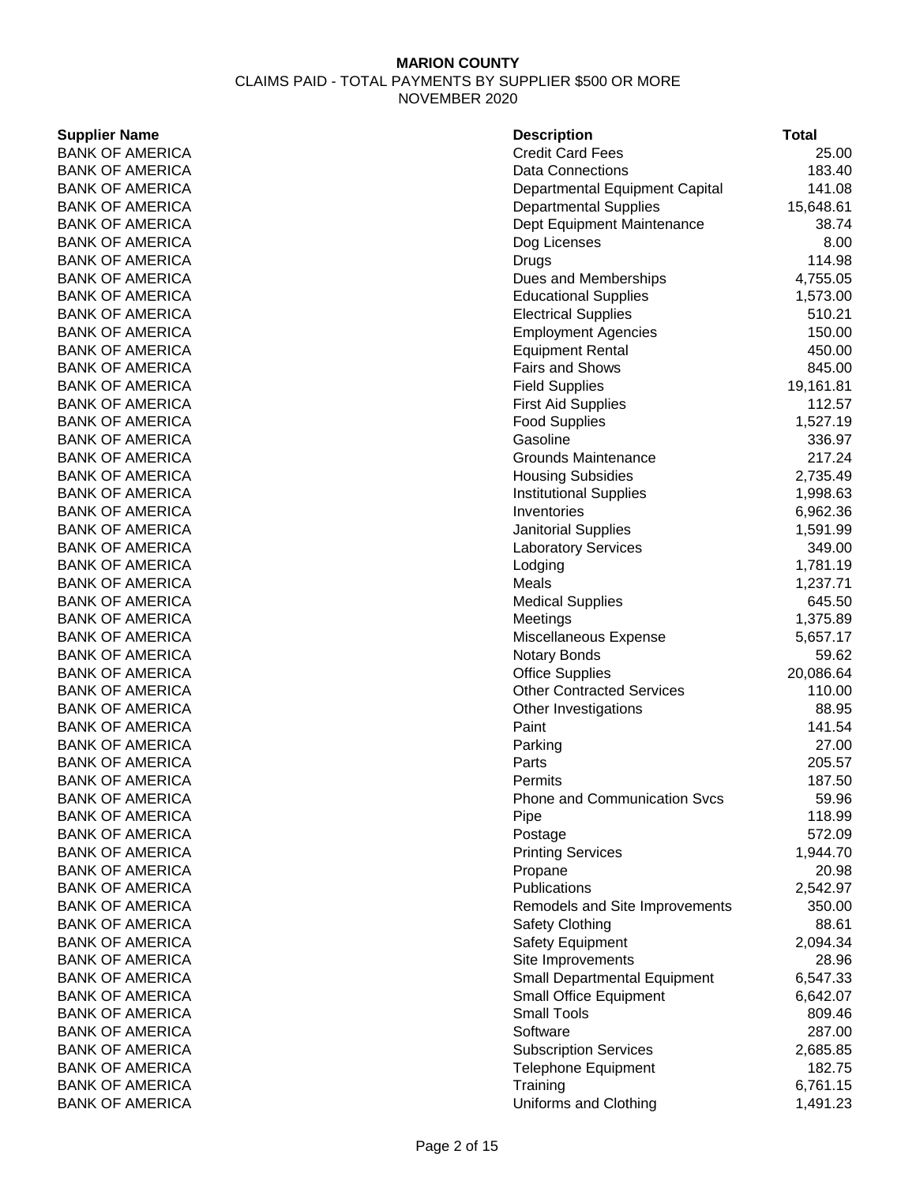### **Supplier Name BANK OF AMERICA BANK OF AMERICA** BANK OF AMERICA BANK OF AMERICA **BANK OF AMERICA BANK OF AMERICA BANK OF AMERICA BANK OF AMERICA BANK OF AMERICA BANK OF AMERICA BANK OF AMERICA BANK OF AMERICA BANK OF AMERICA BANK OF AMERICA BANK OF AMERICA BANK OF AMERICA BANK OF AMERICA BANK OF AMERICA BANK OF AMERICA BANK OF AMERICA BANK OF AMERICA** BANK OF AMERICA **BANK OF AMERICA** BANK OF AMERICA **BANK OF AMERICA BANK OF AMERICA BANK OF AMERICA BANK OF AMERICA BANK OF AMERICA BANK OF AMERICA BANK OF AMERICA BANK OF AMERICA** BANK OF AMERICA **BANK OF AMERICA BANK OF AMERICA BANK OF AMERICA BANK OF AMERICA** BANK OF AMERICA **BANK OF AMERICA BANK OF AMERICA** BANK OF AMERICA **BANK OF AMERICA** BANK OF AMERICA **BANK OF AMERICA BANK OF AMERICA BANK OF AMERICA BANK OF AMERICA** BANK OF AMERICA **BANK OF AMERICA BANK OF AMERICA BANK OF AMERICA BANK OF AMERICA** BANK OF AMERICA **BANK OF AMERICA**

| <b>Description</b>                  | <b>Total</b>    |
|-------------------------------------|-----------------|
| <b>Credit Card Fees</b>             | 25.00           |
| <b>Data Connections</b>             | 183.40          |
| Departmental Equipment Capital      | 141.08          |
| <b>Departmental Supplies</b>        | 15,648.61       |
| Dept Equipment Maintenance          | 38.74           |
| Dog Licenses                        | 8.00            |
| Drugs                               | 114.98          |
| Dues and Memberships                | 4,755.05        |
| <b>Educational Supplies</b>         | 1,573.00        |
| <b>Electrical Supplies</b>          | 510.21          |
| <b>Employment Agencies</b>          | 150.00          |
| <b>Equipment Rental</b>             | 450.00          |
| <b>Fairs and Shows</b>              | 845.00          |
| <b>Field Supplies</b>               | 19,161.81       |
| <b>First Aid Supplies</b>           | 112.57          |
| <b>Food Supplies</b>                | 1,527.19        |
| Gasoline                            | 336.97          |
| Grounds Maintenance                 | 217.24          |
| <b>Housing Subsidies</b>            | 2,735.49        |
| <b>Institutional Supplies</b>       | 1,998.63        |
| Inventories                         | 6,962.36        |
| <b>Janitorial Supplies</b>          | 1,591.99        |
| <b>Laboratory Services</b>          | 349.00          |
| Lodging                             | 1,781.19        |
| Meals                               | 1,237.71        |
| <b>Medical Supplies</b>             | 645.50          |
| Meetings                            | 1,375.89        |
| Miscellaneous Expense               | 5,657.17        |
| <b>Notary Bonds</b>                 | 59.62           |
| <b>Office Supplies</b>              | 20,086.64       |
| <b>Other Contracted Services</b>    | 110.00          |
| Other Investigations                | 88.95           |
| Paint                               | 141.54          |
| Parking                             | 27.00           |
| Parts                               | 205.57          |
| Permits                             | 187.50          |
| <b>Phone and Communication Svcs</b> | 59.96<br>118.99 |
| Pipe<br>Postage                     | 572.09          |
| <b>Printing Services</b>            | 1,944.70        |
| Propane                             | 20.98           |
| Publications                        | 2,542.97        |
| Remodels and Site Improvements      | 350.00          |
| Safety Clothing                     | 88.61           |
| Safety Equipment                    | 2,094.34        |
| Site Improvements                   | 28.96           |
| Small Departmental Equipment        | 6,547.33        |
| Small Office Equipment              | 6,642.07        |
| <b>Small Tools</b>                  | 809.46          |
| Software                            | 287.00          |
| <b>Subscription Services</b>        | 2,685.85        |
| <b>Telephone Equipment</b>          | 182.75          |
| Training                            | 6,761.15        |
| Uniforms and Clothing               | 1,491.23        |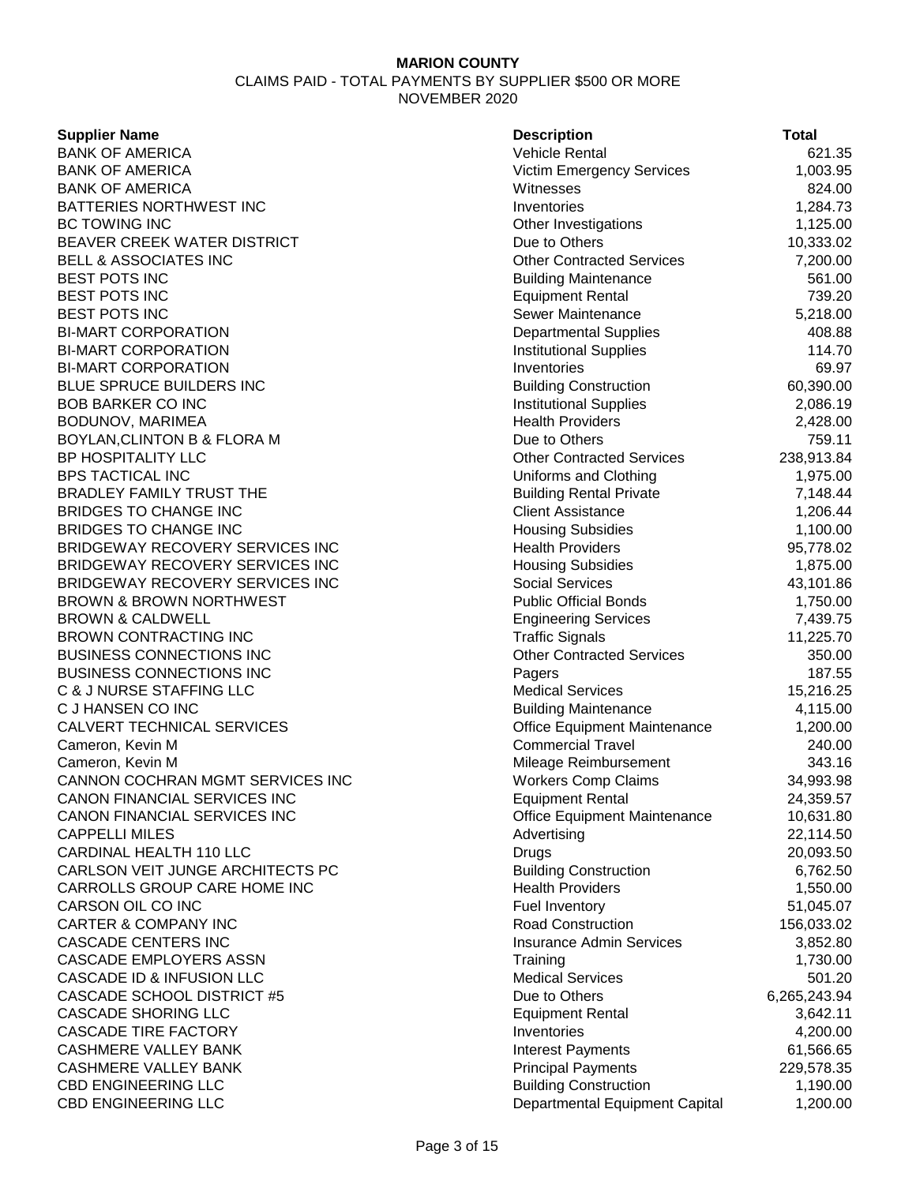CLAIMS PAID - TOTAL PAYMENTS BY SUPPLIER \$500 OR MORE NOVEMBER 2020

#### **Supplier Name**

**BANK OF AMERICA** BANK OF AMERICA **BANK OF AMERICA** BATTERIES NORTHWEST INC BC TOWING INC BEAVER CREEK WATER DISTRICT BELL & ASSOCIATES INC BEST POTS INC **BEST POTS INC** BEST POTS INC **BI-MART CORPORATION BI-MART CORPORATION BI-MART CORPORATION** BLUE SPRUCE BUILDERS INC **BOB BARKER CO INC** BODUNOV, MARIMEA BOYLAN, CLINTON B & FLORA M BP HOSPITALITY LLC BPS TACTICAL INC BRADLEY FAMILY TRUST THE BRIDGES TO CHANGE INC **BRIDGES TO CHANGE INC** BRIDGEWAY RECOVERY SERVICES INC BRIDGEWAY RECOVERY SERVICES INC BRIDGEWAY RECOVERY SERVICES INC BROWN & BROWN NORTHWEST **BROWN & CALDWELL** BROWN CONTRACTING INC BUSINESS CONNECTIONS INC BUSINESS CONNECTIONS INC C & J NURSE STAFFING LLC C J HANSEN CO INC CALVERT TECHNICAL SERVICES Cameron, Kevin M Cameron, Kevin M CANNON COCHRAN MGMT SERVICES INC CANON FINANCIAL SERVICES INC CANON FINANCIAL SERVICES INC **CAPPELLI MILES CARDINAL HEALTH 110 LLC** CARLSON VEIT JUNGE ARCHITECTS PC CARROLLS GROUP CARE HOME INC CARSON OIL CO INC **CARTER & COMPANY INC CASCADE CENTERS INC** CASCADE EMPLOYERS ASSN CASCADE ID & INFUSION LLC CASCADE SCHOOL DISTRICT #5 **CASCADE SHORING LLC CASCADE TIRE FACTORY CASHMERE VALLEY BANK** CASHMERE VALLEY BANK CBD ENGINEERING LLC CBD ENGINEERING LLC

| <b>Description</b>                                         | Total        |
|------------------------------------------------------------|--------------|
| Vehicle Rental                                             | 621.35       |
| <b>Victim Emergency Services</b>                           | 1,003.95     |
| Witnesses                                                  | 824.00       |
| Inventories                                                | 1,284.73     |
| Other Investigations                                       | 1,125.00     |
| Due to Others                                              | 10,333.02    |
| <b>Other Contracted Services</b>                           | 7,200.00     |
| <b>Building Maintenance</b>                                | 561.00       |
| <b>Equipment Rental</b>                                    | 739.20       |
| Sewer Maintenance                                          | 5,218.00     |
| <b>Departmental Supplies</b>                               | 408.88       |
| <b>Institutional Supplies</b>                              | 114.70       |
| Inventories                                                | 69.97        |
| <b>Building Construction</b>                               | 60,390.00    |
| <b>Institutional Supplies</b>                              | 2,086.19     |
| <b>Health Providers</b>                                    | 2,428.00     |
| Due to Others                                              | 759.11       |
| <b>Other Contracted Services</b>                           | 238,913.84   |
| Uniforms and Clothing                                      | 1,975.00     |
| <b>Building Rental Private</b>                             | 7,148.44     |
| <b>Client Assistance</b>                                   | 1,206.44     |
| <b>Housing Subsidies</b>                                   | 1,100.00     |
| <b>Health Providers</b>                                    | 95,778.02    |
| <b>Housing Subsidies</b>                                   | 1,875.00     |
| <b>Social Services</b>                                     | 43,101.86    |
| <b>Public Official Bonds</b>                               |              |
| <b>Engineering Services</b>                                | 1,750.00     |
|                                                            | 7,439.75     |
| <b>Traffic Signals</b><br><b>Other Contracted Services</b> | 11,225.70    |
|                                                            | 350.00       |
| Pagers<br><b>Medical Services</b>                          | 187.55       |
|                                                            | 15,216.25    |
| <b>Building Maintenance</b>                                | 4,115.00     |
| Office Equipment Maintenance<br><b>Commercial Travel</b>   | 1,200.00     |
|                                                            | 240.00       |
| Mileage Reimbursement                                      | 343.16       |
| <b>Workers Comp Claims</b>                                 | 34,993.98    |
| Equipment Rental                                           | 24,359.57    |
| Office Equipment Maintenance                               | 10,631.80    |
| Advertising                                                | 22,114.50    |
| Drugs                                                      | 20,093.50    |
| <b>Building Construction</b>                               | 6,762.50     |
| <b>Health Providers</b>                                    | 1,550.00     |
| <b>Fuel Inventory</b>                                      | 51,045.07    |
| <b>Road Construction</b>                                   | 156,033.02   |
| <b>Insurance Admin Services</b>                            | 3,852.80     |
| Training                                                   | 1,730.00     |
| <b>Medical Services</b>                                    | 501.20       |
| Due to Others                                              | 6,265,243.94 |
| <b>Equipment Rental</b>                                    | 3,642.11     |
| Inventories                                                | 4,200.00     |
| <b>Interest Payments</b>                                   | 61,566.65    |
| <b>Principal Payments</b>                                  | 229,578.35   |
| <b>Building Construction</b>                               | 1,190.00     |
| Departmental Equipment Capital                             | 1,200.00     |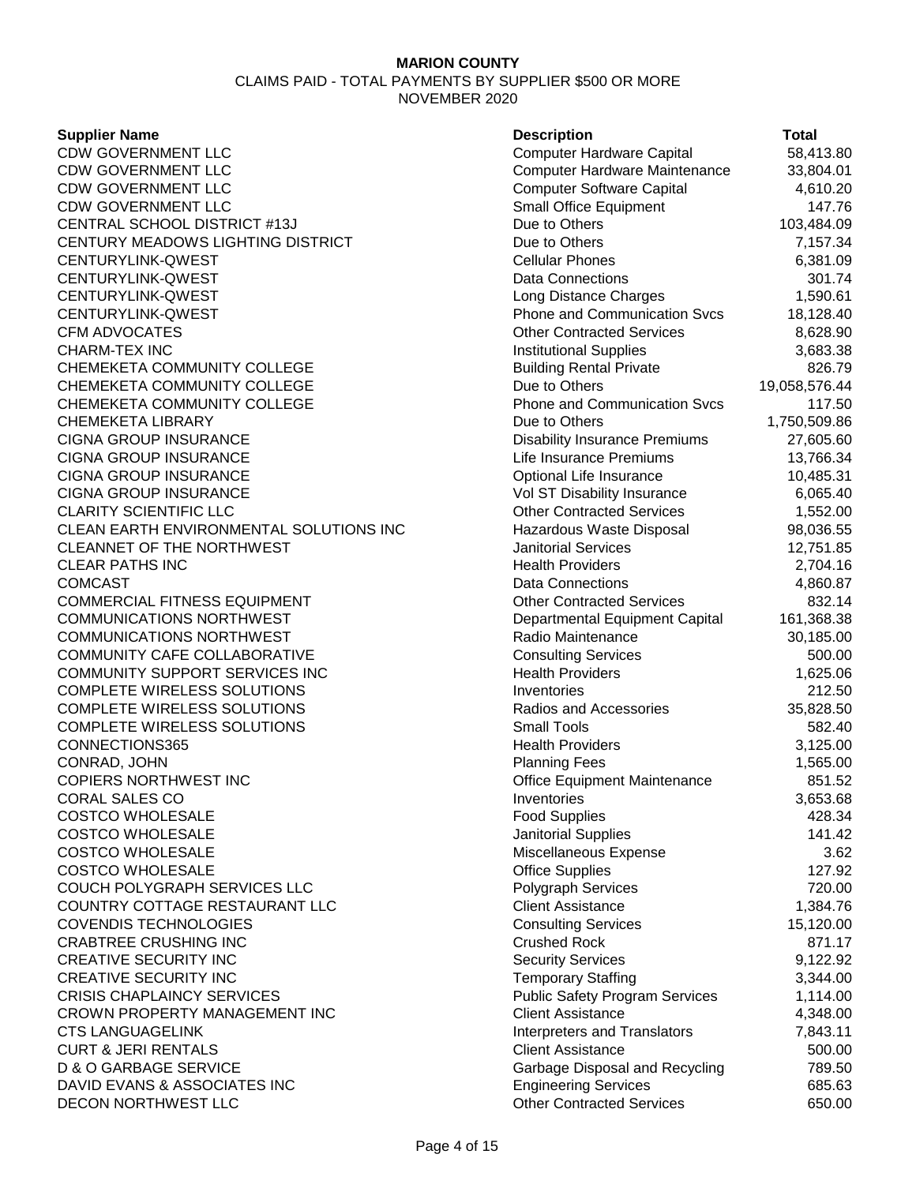#### **Supplier Name**

| <b>Supplier Name</b>                    | <b>Description</b>                    | <b>Total</b>  |
|-----------------------------------------|---------------------------------------|---------------|
| CDW GOVERNMENT LLC                      | <b>Computer Hardware Capital</b>      | 58,413.80     |
| CDW GOVERNMENT LLC                      | Computer Hardware Maintenance         | 33,804.01     |
| CDW GOVERNMENT LLC                      | <b>Computer Software Capital</b>      | 4,610.20      |
| CDW GOVERNMENT LLC                      | Small Office Equipment                | 147.76        |
| CENTRAL SCHOOL DISTRICT #13J            | Due to Others                         | 103,484.09    |
| CENTURY MEADOWS LIGHTING DISTRICT       | Due to Others                         | 7,157.34      |
| CENTURYLINK-QWEST                       | <b>Cellular Phones</b>                | 6,381.09      |
| CENTURYLINK-QWEST                       | <b>Data Connections</b>               | 301.74        |
| CENTURYLINK-QWEST                       | Long Distance Charges                 | 1,590.61      |
| CENTURYLINK-QWEST                       | <b>Phone and Communication Svcs</b>   | 18,128.40     |
| <b>CFM ADVOCATES</b>                    | <b>Other Contracted Services</b>      | 8,628.90      |
| CHARM-TEX INC                           | <b>Institutional Supplies</b>         | 3,683.38      |
| CHEMEKETA COMMUNITY COLLEGE             | <b>Building Rental Private</b>        | 826.79        |
| CHEMEKETA COMMUNITY COLLEGE             | Due to Others                         | 19,058,576.44 |
| CHEMEKETA COMMUNITY COLLEGE             | <b>Phone and Communication Svcs</b>   | 117.50        |
| CHEMEKETA LIBRARY                       | Due to Others                         | 1,750,509.86  |
| <b>CIGNA GROUP INSURANCE</b>            | <b>Disability Insurance Premiums</b>  | 27,605.60     |
| <b>CIGNA GROUP INSURANCE</b>            | Life Insurance Premiums               | 13,766.34     |
| <b>CIGNA GROUP INSURANCE</b>            | Optional Life Insurance               | 10,485.31     |
| <b>CIGNA GROUP INSURANCE</b>            | Vol ST Disability Insurance           | 6,065.40      |
| <b>CLARITY SCIENTIFIC LLC</b>           | <b>Other Contracted Services</b>      | 1,552.00      |
| CLEAN EARTH ENVIRONMENTAL SOLUTIONS INC | Hazardous Waste Disposal              | 98,036.55     |
| <b>CLEANNET OF THE NORTHWEST</b>        | <b>Janitorial Services</b>            | 12,751.85     |
| CLEAR PATHS INC                         | <b>Health Providers</b>               | 2,704.16      |
| COMCAST                                 | Data Connections                      | 4,860.87      |
| COMMERCIAL FITNESS EQUIPMENT            | <b>Other Contracted Services</b>      | 832.14        |
| COMMUNICATIONS NORTHWEST                | Departmental Equipment Capital        | 161,368.38    |
| COMMUNICATIONS NORTHWEST                | Radio Maintenance                     | 30,185.00     |
| COMMUNITY CAFE COLLABORATIVE            | <b>Consulting Services</b>            | 500.00        |
| COMMUNITY SUPPORT SERVICES INC          | <b>Health Providers</b>               | 1,625.06      |
| COMPLETE WIRELESS SOLUTIONS             | Inventories                           | 212.50        |
| COMPLETE WIRELESS SOLUTIONS             | Radios and Accessories                | 35,828.50     |
| COMPLETE WIRELESS SOLUTIONS             | <b>Small Tools</b>                    | 582.40        |
| CONNECTIONS365                          | <b>Health Providers</b>               | 3,125.00      |
| CONRAD, JOHN                            | <b>Planning Fees</b>                  | 1,565.00      |
| COPIERS NORTHWEST INC                   | Office Equipment Maintenance          | 851.52        |
| CORAL SALES CO                          | Inventories                           | 3,653.68      |
| <b>COSTCO WHOLESALE</b>                 | <b>Food Supplies</b>                  | 428.34        |
| <b>COSTCO WHOLESALE</b>                 | Janitorial Supplies                   | 141.42        |
| <b>COSTCO WHOLESALE</b>                 | Miscellaneous Expense                 | 3.62          |
| <b>COSTCO WHOLESALE</b>                 | <b>Office Supplies</b>                | 127.92        |
| COUCH POLYGRAPH SERVICES LLC            | Polygraph Services                    | 720.00        |
| COUNTRY COTTAGE RESTAURANT LLC          | <b>Client Assistance</b>              | 1,384.76      |
| COVENDIS TECHNOLOGIES                   | <b>Consulting Services</b>            | 15,120.00     |
| <b>CRABTREE CRUSHING INC</b>            | <b>Crushed Rock</b>                   | 871.17        |
| <b>CREATIVE SECURITY INC</b>            | <b>Security Services</b>              | 9,122.92      |
| <b>CREATIVE SECURITY INC</b>            | <b>Temporary Staffing</b>             | 3,344.00      |
| <b>CRISIS CHAPLAINCY SERVICES</b>       | <b>Public Safety Program Services</b> | 1,114.00      |
| CROWN PROPERTY MANAGEMENT INC           | <b>Client Assistance</b>              | 4,348.00      |
| <b>CTS LANGUAGELINK</b>                 | Interpreters and Translators          | 7,843.11      |
| <b>CURT &amp; JERI RENTALS</b>          | <b>Client Assistance</b>              | 500.00        |
| D & O GARBAGE SERVICE                   | Garbage Disposal and Recycling        | 789.50        |
| DAVID EVANS & ASSOCIATES INC            | <b>Engineering Services</b>           | 685.63        |
| <b>DECON NORTHWEST LLC</b>              | <b>Other Contracted Services</b>      | 650.00        |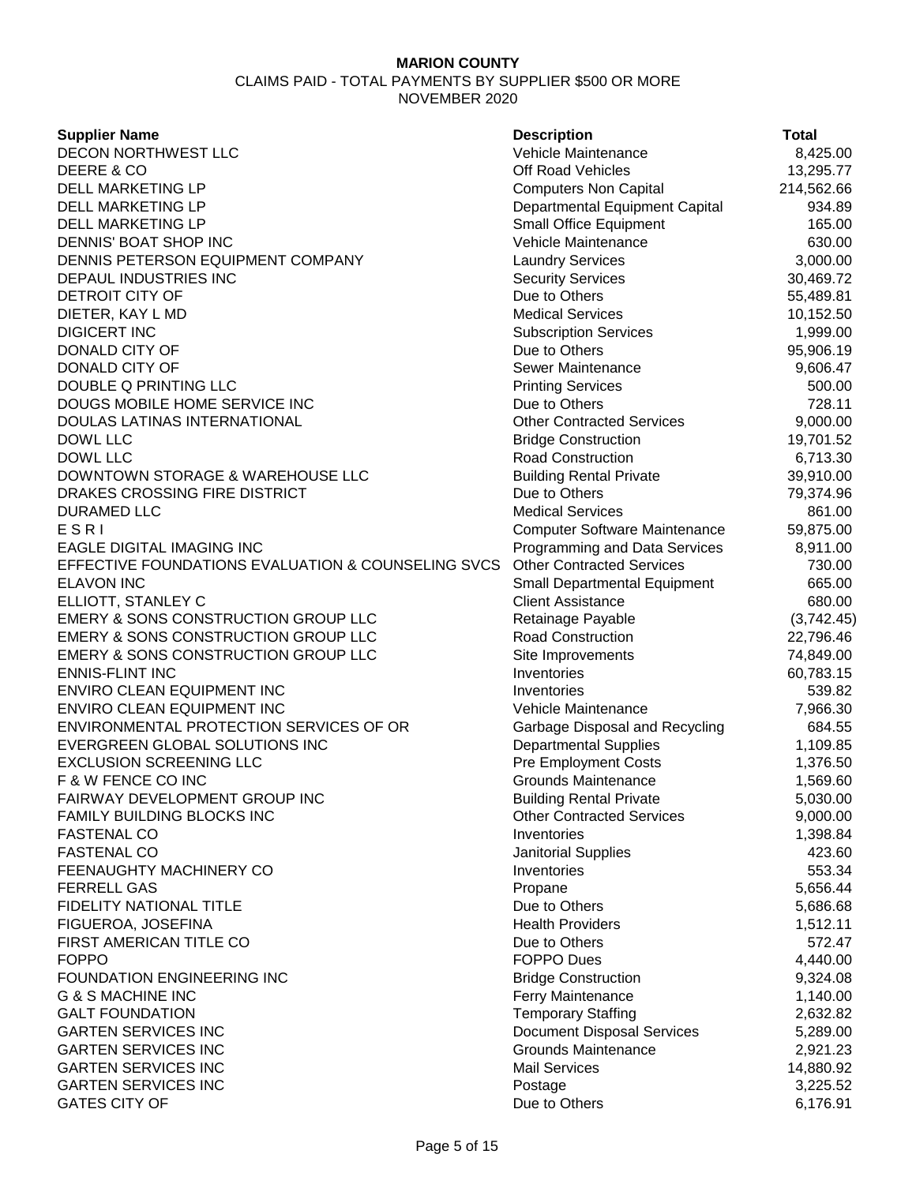| <b>Supplier Name</b>                               | <b>Description</b>                                       | <b>Total</b> |
|----------------------------------------------------|----------------------------------------------------------|--------------|
| DECON NORTHWEST LLC                                | Vehicle Maintenance                                      | 8,425.00     |
| DEERE & CO                                         | Off Road Vehicles                                        | 13,295.77    |
| <b>DELL MARKETING LP</b>                           | <b>Computers Non Capital</b>                             | 214,562.66   |
| DELL MARKETING LP                                  | Departmental Equipment Capital                           | 934.89       |
| DELL MARKETING LP                                  | <b>Small Office Equipment</b>                            | 165.00       |
| DENNIS' BOAT SHOP INC                              | Vehicle Maintenance                                      | 630.00       |
| DENNIS PETERSON EQUIPMENT COMPANY                  | <b>Laundry Services</b>                                  | 3,000.00     |
| DEPAUL INDUSTRIES INC                              | <b>Security Services</b>                                 | 30,469.72    |
| DETROIT CITY OF                                    | Due to Others                                            | 55,489.81    |
| DIETER, KAY L MD                                   | <b>Medical Services</b>                                  | 10,152.50    |
| <b>DIGICERT INC</b>                                | <b>Subscription Services</b>                             | 1,999.00     |
| DONALD CITY OF                                     | Due to Others                                            | 95,906.19    |
| DONALD CITY OF                                     | Sewer Maintenance                                        | 9,606.47     |
| DOUBLE Q PRINTING LLC                              | <b>Printing Services</b>                                 | 500.00       |
| DOUGS MOBILE HOME SERVICE INC                      | Due to Others                                            | 728.11       |
| DOULAS LATINAS INTERNATIONAL                       | <b>Other Contracted Services</b>                         | 9,000.00     |
| DOWL LLC                                           | <b>Bridge Construction</b>                               | 19,701.52    |
| DOWL LLC                                           | Road Construction                                        | 6,713.30     |
| DOWNTOWN STORAGE & WAREHOUSE LLC                   | <b>Building Rental Private</b>                           | 39,910.00    |
| DRAKES CROSSING FIRE DISTRICT                      | Due to Others                                            | 79,374.96    |
| <b>DURAMED LLC</b>                                 | <b>Medical Services</b>                                  | 861.00       |
| ESRI                                               | <b>Computer Software Maintenance</b>                     | 59,875.00    |
| <b>EAGLE DIGITAL IMAGING INC</b>                   | Programming and Data Services                            | 8,911.00     |
| EFFECTIVE FOUNDATIONS EVALUATION & COUNSELING SVCS | <b>Other Contracted Services</b>                         | 730.00       |
| <b>ELAVON INC</b>                                  | <b>Small Departmental Equipment</b>                      | 665.00       |
| ELLIOTT, STANLEY C                                 | <b>Client Assistance</b>                                 | 680.00       |
| EMERY & SONS CONSTRUCTION GROUP LLC                | Retainage Payable                                        | (3,742.45)   |
| <b>EMERY &amp; SONS CONSTRUCTION GROUP LLC</b>     | Road Construction                                        | 22,796.46    |
| EMERY & SONS CONSTRUCTION GROUP LLC                | Site Improvements                                        | 74,849.00    |
| <b>ENNIS-FLINT INC</b>                             | Inventories                                              | 60,783.15    |
| ENVIRO CLEAN EQUIPMENT INC                         | Inventories                                              | 539.82       |
| ENVIRO CLEAN EQUIPMENT INC                         | Vehicle Maintenance                                      | 7,966.30     |
| ENVIRONMENTAL PROTECTION SERVICES OF OR            | Garbage Disposal and Recycling                           | 684.55       |
| EVERGREEN GLOBAL SOLUTIONS INC                     | <b>Departmental Supplies</b>                             | 1,109.85     |
| <b>EXCLUSION SCREENING LLC</b>                     | <b>Pre Employment Costs</b>                              | 1,376.50     |
| F & W FENCE CO INC                                 | <b>Grounds Maintenance</b>                               | 1,569.60     |
| FAIRWAY DEVELOPMENT GROUP INC                      | <b>Building Rental Private</b>                           | 5,030.00     |
| FAMILY BUILDING BLOCKS INC                         | <b>Other Contracted Services</b>                         | 9,000.00     |
| <b>FASTENAL CO</b>                                 | Inventories                                              | 1,398.84     |
| <b>FASTENAL CO</b>                                 | Janitorial Supplies                                      | 423.60       |
| FEENAUGHTY MACHINERY CO                            | Inventories                                              | 553.34       |
| <b>FERRELL GAS</b>                                 | Propane                                                  | 5,656.44     |
| FIDELITY NATIONAL TITLE                            | Due to Others                                            | 5,686.68     |
| FIGUEROA, JOSEFINA                                 | <b>Health Providers</b>                                  | 1,512.11     |
| FIRST AMERICAN TITLE CO                            | Due to Others                                            | 572.47       |
| <b>FOPPO</b>                                       | <b>FOPPO Dues</b>                                        | 4,440.00     |
| <b>FOUNDATION ENGINEERING INC</b>                  | <b>Bridge Construction</b>                               | 9,324.08     |
| G & S MACHINE INC                                  | Ferry Maintenance                                        | 1,140.00     |
| <b>GALT FOUNDATION</b>                             | <b>Temporary Staffing</b>                                |              |
| <b>GARTEN SERVICES INC</b>                         |                                                          | 2,632.82     |
| <b>GARTEN SERVICES INC</b>                         | <b>Document Disposal Services</b><br>Grounds Maintenance | 5,289.00     |
| <b>GARTEN SERVICES INC</b>                         | <b>Mail Services</b>                                     | 2,921.23     |
| <b>GARTEN SERVICES INC</b>                         |                                                          | 14,880.92    |
|                                                    | Postage                                                  | 3,225.52     |
| <b>GATES CITY OF</b>                               | Due to Others                                            | 6,176.91     |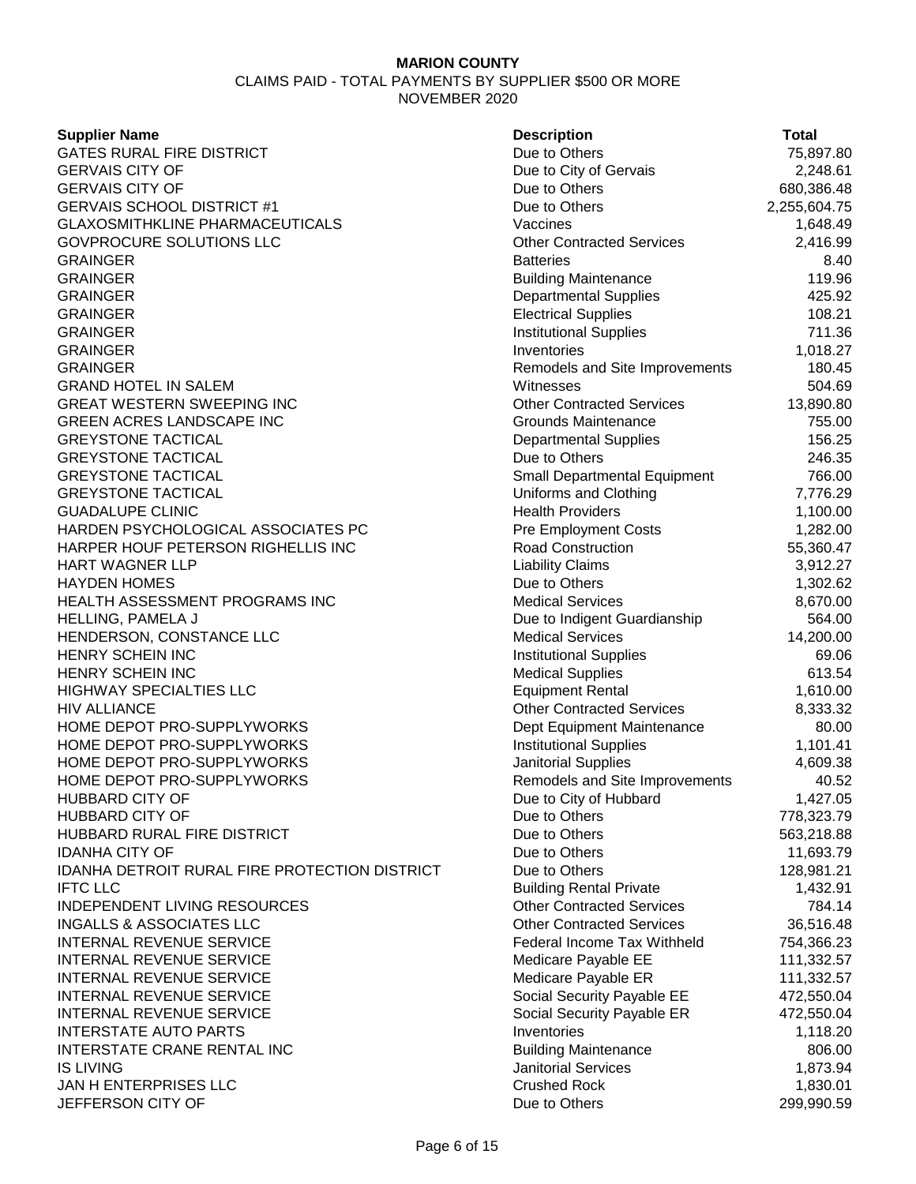**Supplier Name** 

**GATES RURAL FIRE DISTRICT GERVAIS CITY OF GERVAIS CITY OF** GERVAIS SCHOOL DISTRICT #1 **GLAXOSMITHKLINE PHARMACEUTICALS** GOVPROCURE SOLUTIONS LLC GRAINGER Batteries 8.40 GRAINGER 119.96 GRAINGER Departmental Supplies 425.92 GRAINGER Electrical Supplies 108.21 GRAINGER Institutional Supplies 711.36 GRAINGER Inventories 1,018.27 GRAINGER **Remodels and Site Improvements** 180.45 **GRAND HOTEL IN SALEM** GREAT WESTERN SWEEPING INC **GREEN ACRES LANDSCAPE INC GREYSTONE TACTICAL GREYSTONE TACTICAL GREYSTONE TACTICAL GREYSTONE TACTICAL GUADALUPE CLINIC** HARDEN PSYCHOLOGICAL ASSOCIATES PC HARPER HOUF PETERSON RIGHELLIS INC **HART WAGNER LLP HAYDEN HOMES** HEALTH ASSESSMENT PROGRAMS INC HELLING, PAMELA J HENDERSON, CONSTANCE LLC **HENRY SCHEIN INC** HENRY SCHEIN INC HIGHWAY SPECIALTIES LLC HIV ALLIANCE HOME DEPOT PRO-SUPPLYWORKS HOME DEPOT PRO-SUPPLYWORKS HOME DEPOT PRO-SUPPLYWORKS HOME DEPOT PRO-SUPPLYWORKS HUBBARD CITY OF **HUBBARD CITY OF** HUBBARD RURAL FIRE DISTRICT **IDANHA CITY OF** IDANHA DETROIT RURAL FIRE PROTECTION DISTRICT IFTC LLC Building Rental Private 1,432.91 INDEPENDENT LIVING RESOURCES **INGALLS & ASSOCIATES LLC INTERNAL REVENUE SERVICE INTERNAL REVENUE SERVICE** INTERNAL REVENUE SERVICE INTERNAL REVENUE SERVICE **INTERNAL REVENUE SERVICE INTERSTATE AUTO PARTS INTERSTATE CRANE RENTAL INC** IS LIVING Janitorial Services 1,873.94 JAN H ENTERPRISES LLC **JEFFERSON CITY OF** 

| <b>Description</b>                 | Total        |
|------------------------------------|--------------|
| Due to Others                      | 75,897.80    |
| Due to City of Gervais             | 2,248.61     |
| Due to Others                      | 680,386.48   |
| Due to Others                      | 2,255,604.75 |
| Vaccines                           | 1,648.49     |
| <b>Other Contracted Services</b>   | 2,416.99     |
| <b>Batteries</b>                   | 8.40         |
| <b>Building Maintenance</b>        | 119.96       |
| <b>Departmental Supplies</b>       | 425.92       |
| <b>Electrical Supplies</b>         | 108.21       |
| <b>Institutional Supplies</b>      | 711.36       |
| Inventories                        | 1,018.27     |
| Remodels and Site Improvements     | 180.45       |
| Witnesses                          | 504.69       |
| <b>Other Contracted Services</b>   | 13,890.80    |
| Grounds Maintenance                | 755.00       |
| <b>Departmental Supplies</b>       | 156.25       |
| Due to Others                      | 246.35       |
| Small Departmental Equipment       | 766.00       |
| Uniforms and Clothing              | 7,776.29     |
| <b>Health Providers</b>            | 1,100.00     |
| <b>Pre Employment Costs</b>        | 1,282.00     |
| <b>Road Construction</b>           | 55,360.47    |
| <b>Liability Claims</b>            | 3,912.27     |
| Due to Others                      | 1,302.62     |
| <b>Medical Services</b>            | 8,670.00     |
| Due to Indigent Guardianship       | 564.00       |
| <b>Medical Services</b>            | 14,200.00    |
| <b>Institutional Supplies</b>      | 69.06        |
| <b>Medical Supplies</b>            | 613.54       |
| <b>Equipment Rental</b>            | 1,610.00     |
| <b>Other Contracted Services</b>   | 8,333.32     |
| Dept Equipment Maintenance         | 80.00        |
| <b>Institutional Supplies</b>      | 1,101.41     |
| <b>Janitorial Supplies</b>         | 4,609.38     |
| Remodels and Site Improvements     | 40.52        |
| Due to City of Hubbard             | 1,427.05     |
| Due to Others                      | 778,323.79   |
| Due to Others                      | 563,218.88   |
| Due to Others                      | 11,693.79    |
| Due to Others                      | 128,981.21   |
| <b>Building Rental Private</b>     | 1,432.91     |
| <b>Other Contracted Services</b>   | 784.14       |
| <b>Other Contracted Services</b>   | 36,516.48    |
| <b>Federal Income Tax Withheld</b> | 754,366.23   |
| Medicare Payable EE                | 111,332.57   |
| Medicare Payable ER                | 111,332.57   |
| Social Security Payable EE         | 472,550.04   |
| Social Security Payable ER         | 472,550.04   |
| Inventories                        | 1,118.20     |
| <b>Building Maintenance</b>        | 806.00       |
| <b>Janitorial Services</b>         | 1,873.94     |
| <b>Crushed Rock</b>                | 1,830.01     |
| Due to Others                      | 299,990.59   |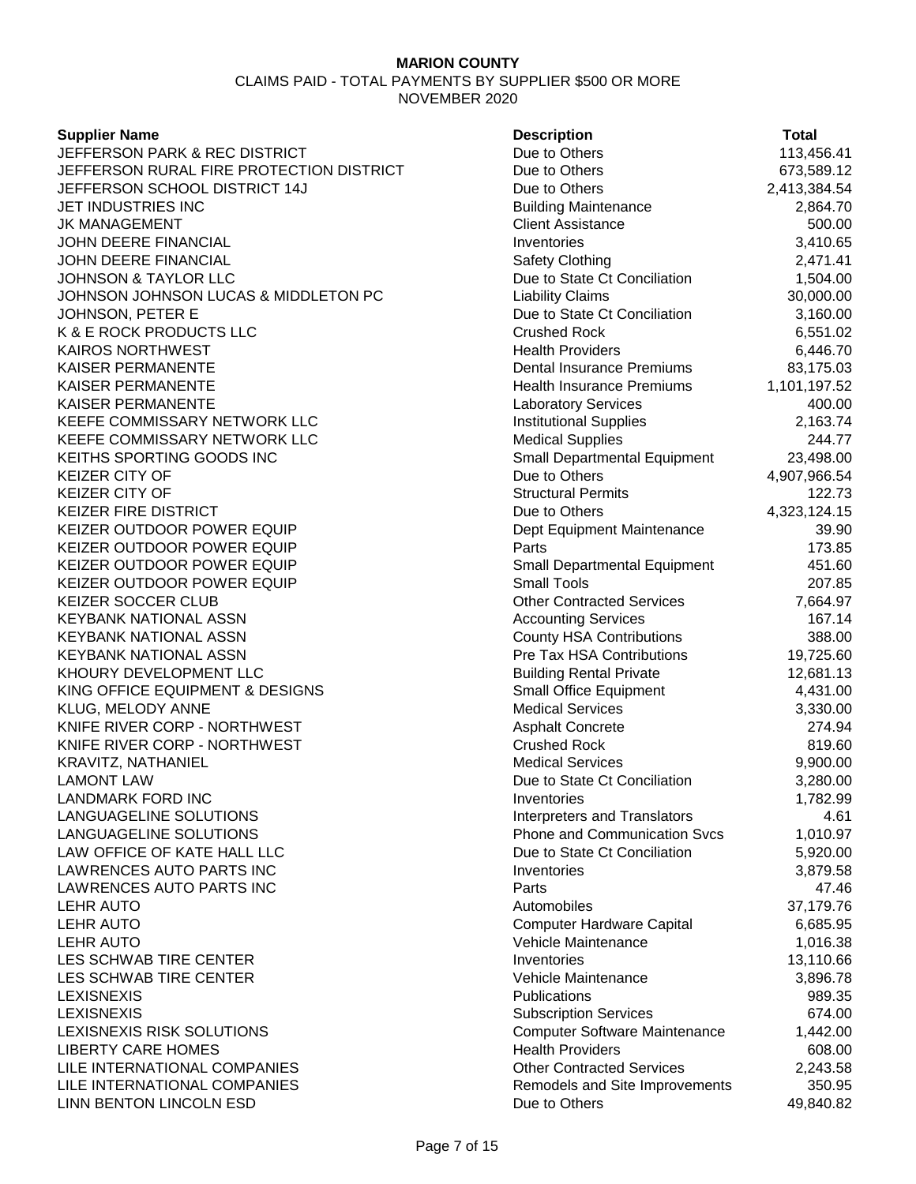# **Supplier Name** JEFFERSON PARK & REC DISTRICT JEFFERSON RURAL FIRE PROTECTION DISTRICT JEFFERSON SCHOOL DISTRICT 14J JET INDUSTRIES INC **JK MANAGEMENT JOHN DEERE FINANCIAL JOHN DEERE FINANCIAL** JOHNSON & TAYLOR LLC JOHNSON JOHNSON LUCAS & MIDDLETON PC JOHNSON, PETER E K & E ROCK PRODUCTS LLC KAIROS NORTHWEST KAISER PERMANENTE KAISER PERMANENTE KAISER PERMANENTE KEEFE COMMISSARY NETWORK LLC KEEFE COMMISSARY NETWORK LLC KEITHS SPORTING GOODS INC KEIZER CITY OF **KEIZER CITY OF** KEIZER FIRE DISTRICT KEIZER OUTDOOR POWER EQUIP KEIZER OUTDOOR POWER EQUIP KEIZER OUTDOOR POWER EQUIP KEIZER OUTDOOR POWER EQUIP KEIZER SOCCER CLUB KEYBANK NATIONAL ASSN KEYBANK NATIONAL ASSN KEYBANK NATIONAL ASSN KHOURY DEVELOPMENT LLC KING OFFICE EQUIPMENT & DESIGNS KLUG, MELODY ANNE KNIFE RIVER CORP - NORTHWEST KNIFE RIVER CORP - NORTHWEST KRAVITZ, NATHANIEL **LAMONT LAW** LANDMARK FORD INC LANGUAGELINE SOLUTIONS LANGUAGELINE SOLUTIONS LAW OFFICE OF KATE HALL LLC LAWRENCES AUTO PARTS INC LAWRENCES AUTO PARTS INC LES SCHWAB TIRE CENTER LES SCHWAB TIRE CENTER LEXISNEXIS RISK SOLUTIONS **LIBERTY CARE HOMES** LILE INTERNATIONAL COMPANIES LILE INTERNATIONAL COMPANIES LINN BENTON LINCOLN ESD

| <b>Supplier Name</b>                     | <b>Description</b>                   | <b>Total</b> |
|------------------------------------------|--------------------------------------|--------------|
| <b>JEFFERSON PARK &amp; REC DISTRICT</b> | Due to Others                        | 113,456.41   |
| JEFFERSON RURAL FIRE PROTECTION DISTRICT | Due to Others                        | 673,589.12   |
| JEFFERSON SCHOOL DISTRICT 14J            | Due to Others                        | 2,413,384.54 |
| JET INDUSTRIES INC                       | <b>Building Maintenance</b>          | 2,864.70     |
| JK MANAGEMENT                            | <b>Client Assistance</b>             | 500.00       |
| JOHN DEERE FINANCIAL                     | Inventories                          | 3,410.65     |
| JOHN DEERE FINANCIAL                     | <b>Safety Clothing</b>               | 2,471.41     |
| <b>JOHNSON &amp; TAYLOR LLC</b>          | Due to State Ct Conciliation         | 1,504.00     |
| JOHNSON JOHNSON LUCAS & MIDDLETON PC     | <b>Liability Claims</b>              | 30,000.00    |
| JOHNSON, PETER E                         | Due to State Ct Conciliation         | 3,160.00     |
| K & E ROCK PRODUCTS LLC                  | <b>Crushed Rock</b>                  | 6,551.02     |
| KAIROS NORTHWEST                         | <b>Health Providers</b>              | 6,446.70     |
| KAISER PERMANENTE                        | Dental Insurance Premiums            | 83,175.03    |
| KAISER PERMANENTE                        | <b>Health Insurance Premiums</b>     | 1,101,197.52 |
| KAISER PERMANENTE                        | <b>Laboratory Services</b>           | 400.00       |
| KEEFE COMMISSARY NETWORK LLC             | <b>Institutional Supplies</b>        | 2,163.74     |
| KEEFE COMMISSARY NETWORK LLC             | <b>Medical Supplies</b>              | 244.77       |
| KEITHS SPORTING GOODS INC                | <b>Small Departmental Equipment</b>  | 23,498.00    |
| <b>KEIZER CITY OF</b>                    | Due to Others                        | 4,907,966.54 |
| <b>KEIZER CITY OF</b>                    | <b>Structural Permits</b>            | 122.73       |
| KEIZER FIRE DISTRICT                     | Due to Others                        | 4,323,124.15 |
| KEIZER OUTDOOR POWER EQUIP               | Dept Equipment Maintenance           | 39.90        |
| KEIZER OUTDOOR POWER EQUIP               | Parts                                | 173.85       |
| KEIZER OUTDOOR POWER EQUIP               | Small Departmental Equipment         | 451.60       |
| KEIZER OUTDOOR POWER EQUIP               | <b>Small Tools</b>                   | 207.85       |
| KEIZER SOCCER CLUB                       | <b>Other Contracted Services</b>     | 7,664.97     |
| KEYBANK NATIONAL ASSN                    | <b>Accounting Services</b>           | 167.14       |
| KEYBANK NATIONAL ASSN                    | <b>County HSA Contributions</b>      | 388.00       |
| KEYBANK NATIONAL ASSN                    | Pre Tax HSA Contributions            | 19,725.60    |
| KHOURY DEVELOPMENT LLC                   | <b>Building Rental Private</b>       | 12,681.13    |
| KING OFFICE EQUIPMENT & DESIGNS          | Small Office Equipment               | 4,431.00     |
| KLUG, MELODY ANNE                        | <b>Medical Services</b>              | 3,330.00     |
| KNIFE RIVER CORP - NORTHWEST             | <b>Asphalt Concrete</b>              | 274.94       |
| KNIFE RIVER CORP - NORTHWEST             | <b>Crushed Rock</b>                  | 819.60       |
| KRAVITZ, NATHANIEL                       | <b>Medical Services</b>              | 9,900.00     |
| LAMONT LAW                               | Due to State Ct Conciliation         | 3,280.00     |
| <b>LANDMARK FORD INC</b>                 | Inventories                          | 1,782.99     |
| LANGUAGELINE SOLUTIONS                   | <b>Interpreters and Translators</b>  | 4.61         |
| LANGUAGELINE SOLUTIONS                   | <b>Phone and Communication Svcs</b>  | 1,010.97     |
| LAW OFFICE OF KATE HALL LLC              | Due to State Ct Conciliation         | 5,920.00     |
| LAWRENCES AUTO PARTS INC                 | Inventories                          | 3,879.58     |
| LAWRENCES AUTO PARTS INC                 | Parts                                | 47.46        |
| LEHR AUTO                                | Automobiles                          | 37,179.76    |
| <b>LEHR AUTO</b>                         | <b>Computer Hardware Capital</b>     | 6,685.95     |
| <b>LEHR AUTO</b>                         | Vehicle Maintenance                  | 1,016.38     |
| LES SCHWAB TIRE CENTER                   | Inventories                          | 13,110.66    |
| LES SCHWAB TIRE CENTER                   | Vehicle Maintenance                  | 3,896.78     |
| <b>LEXISNEXIS</b>                        | Publications                         | 989.35       |
| <b>LEXISNEXIS</b>                        | <b>Subscription Services</b>         | 674.00       |
| LEXISNEXIS RISK SOLUTIONS                | <b>Computer Software Maintenance</b> | 1,442.00     |
| <b>LIBERTY CARE HOMES</b>                | <b>Health Providers</b>              | 608.00       |
| LILE INTERNATIONAL COMPANIES             | <b>Other Contracted Services</b>     | 2,243.58     |
| LILE INTERNATIONAL COMPANIES             | Remodels and Site Improvements       | 350.95       |
| LINN BENTON LINCOLN ESD                  | Due to Others                        | 49,840.82    |
|                                          |                                      |              |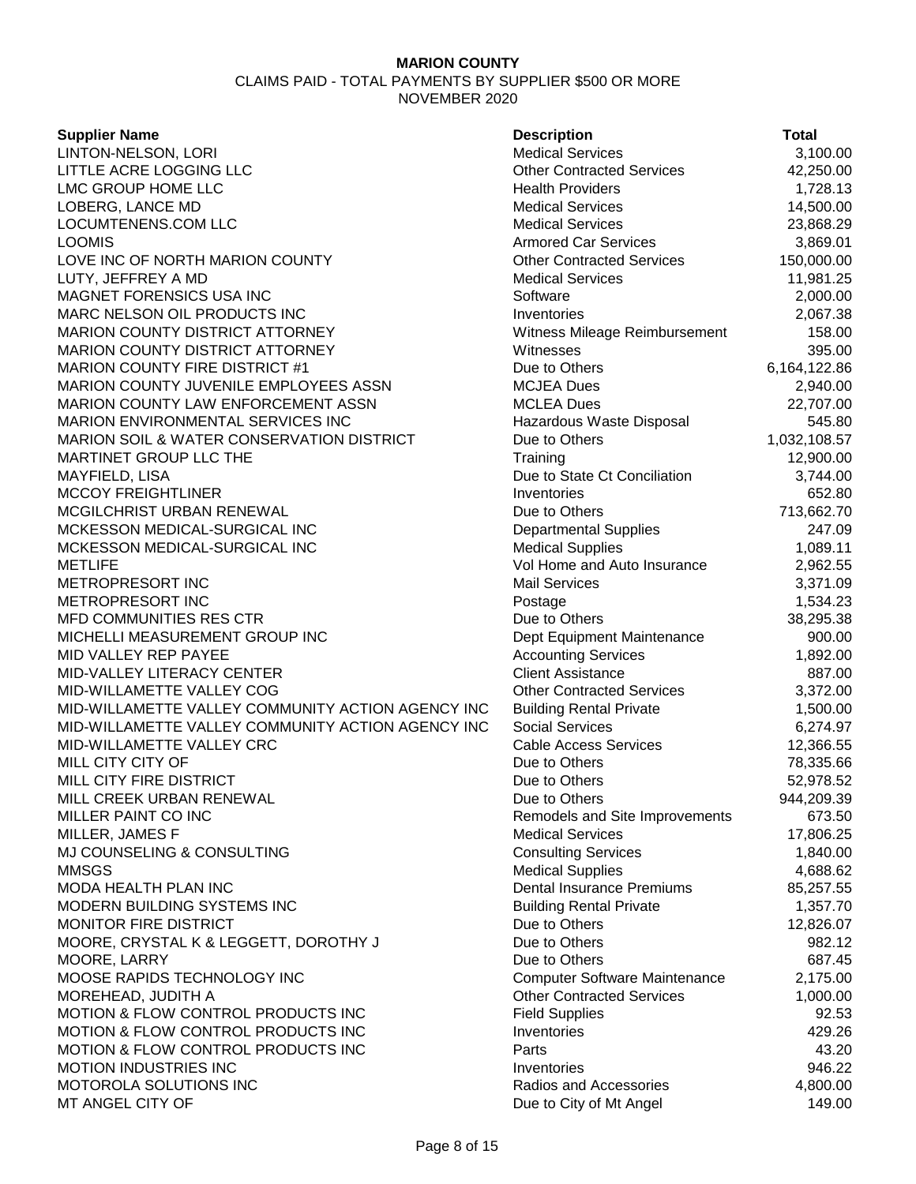CLAIMS PAID - TOTAL PAYMENTS BY SUPPLIER \$500 OR MORE NOVEMBER 2020

### **Supplier Name**

LINTON-NELSON, LORI LITTLE ACRE LOGGING LLC LMC GROUP HOME LLC LOBERG, LANCE MD LOCUMTENENS.COM LLC LOOMIS **Armored Car Services** 3,869.01 LOVE INC OF NORTH MARION COUNTY LUTY, JEFFREY A MD MAGNET FORENSICS USA INC MARC NELSON OIL PRODUCTS INC MARION COUNTY DISTRICT ATTORNEY MARION COUNTY DISTRICT ATTORNEY MARION COUNTY FIRE DISTRICT #1 MARION COUNTY JUVENILE EMPLOYEES ASSN MARION COUNTY LAW ENFORCEMENT ASSN MARION ENVIRONMENTAL SERVICES INC MARION SOIL & WATER CONSERVATION DISTRICT MARTINET GROUP LLC THE MAYFIELD, LISA **MCCOY FREIGHTLINER** MCGILCHRIST URBAN RENEWAL MCKESSON MEDICAL-SURGICAL INC MCKESSON MEDICAL-SURGICAL INC METLIFE Vol Home and Auto Insurance 2,962.55 METROPRESORT INC **METROPRESORT INC** MFD COMMUNITIES RES CTR MICHELLI MEASUREMENT GROUP INC MID VALLEY REP PAYEE MID-VALLEY LITERACY CENTER MID-WILLAMETTE VALLEY COG MID-WILLAMETTE VALLEY COMMUNITY ACTION AGENCY INC MID-WILLAMETTE VALLEY COMMUNITY ACTION AGENCY INC MID-WILLAMETTE VALLEY CRC MILL CITY CITY OF MILL CITY FIRE DISTRICT MILL CREEK URBAN RENEWAL MILLER PAINT CO INC MILLER, JAMES F MJ COUNSELING & CONSULTING MMSGS Medical Supplies 4,688.62 MODA HEALTH PLAN INC MODERN BUILDING SYSTEMS INC MONITOR FIRE DISTRICT MOORE, CRYSTAL K & LEGGETT, DOROTHY J MOORE, LARRY MOOSE RAPIDS TECHNOLOGY INC MOREHEAD, JUDITH A MOTION & FLOW CONTROL PRODUCTS INC MOTION & FLOW CONTROL PRODUCTS INC MOTION & FLOW CONTROL PRODUCTS INC MOTION INDUSTRIES INC MOTOROLA SOLUTIONS INC MT ANGEL CITY OF **DUE 149.00** Due to City of Mt Angel

| <b>Description</b>                                | Total              |
|---------------------------------------------------|--------------------|
| <b>Medical Services</b>                           | 3,100.00           |
| <b>Other Contracted Services</b>                  | 42,250.00          |
| <b>Health Providers</b>                           | 1,728.13           |
| <b>Medical Services</b>                           | 14,500.00          |
| <b>Medical Services</b>                           | 23,868.29          |
| <b>Armored Car Services</b>                       | 3,869.01           |
| <b>Other Contracted Services</b>                  | 150,000.00         |
| <b>Medical Services</b>                           | 11,981.25          |
| Software                                          | 2,000.00           |
| Inventories                                       | 2,067.38           |
| Witness Mileage Reimbursement                     | 158.00             |
| Witnesses                                         | 395.00             |
| Due to Others                                     | 6,164,122.86       |
| <b>MCJEA Dues</b>                                 | 2,940.00           |
| MCLEA Dues                                        | 22,707.00          |
| Hazardous Waste Disposal                          | 545.80             |
| Due to Others                                     | 1,032,108.57       |
| Training                                          | 12,900.00          |
| Due to State Ct Conciliation                      | 3,744.00           |
| Inventories                                       | 652.80             |
| Due to Others                                     | 713,662.70         |
| <b>Departmental Supplies</b>                      | 247.09             |
| <b>Medical Supplies</b>                           | 1,089.11           |
| Vol Home and Auto Insurance                       | 2,962.55           |
| Mail Services                                     | 3,371.09           |
| Postage                                           | 1,534.23           |
| Due to Others                                     | 38,295.38          |
| Dept Equipment Maintenance                        | 900.00             |
| <b>Accounting Services</b>                        | 1,892.00           |
| <b>Client Assistance</b>                          | 887.00             |
| <b>Other Contracted Services</b>                  | 3,372.00           |
| <b>Building Rental Private</b>                    | 1,500.00           |
| Social Services                                   | 6,274.97           |
| <b>Cable Access Services</b>                      | 12,366.55          |
| Due to Others                                     | 78,335.66          |
| Due to Others                                     | 52,978.52          |
| Due to Others                                     | 944,209.39         |
| Remodels and Site Improvements                    | 673.50             |
| <b>Medical Services</b>                           | 17,806.25          |
| <b>Consulting Services</b>                        | 1,840.00           |
| <b>Medical Supplies</b>                           | 4,688.62           |
| <b>Dental Insurance Premiums</b>                  | 85,257.55          |
| <b>Building Rental Private</b>                    | 1,357.70           |
| Due to Others                                     | 12,826.07          |
| Due to Others                                     | 982.12             |
| Due to Others                                     | 687.45             |
| <b>Computer Software Maintenance</b>              | 2,175.00           |
| <b>Other Contracted Services</b>                  | 1,000.00           |
| <b>Field Supplies</b>                             | 92.53              |
| Inventories                                       | 429.26             |
| Parts                                             | 43.20              |
| Inventories                                       | 946.22             |
| Radios and Accessories<br>Due to City of Mt Angel | 4,800.00<br>149 በበ |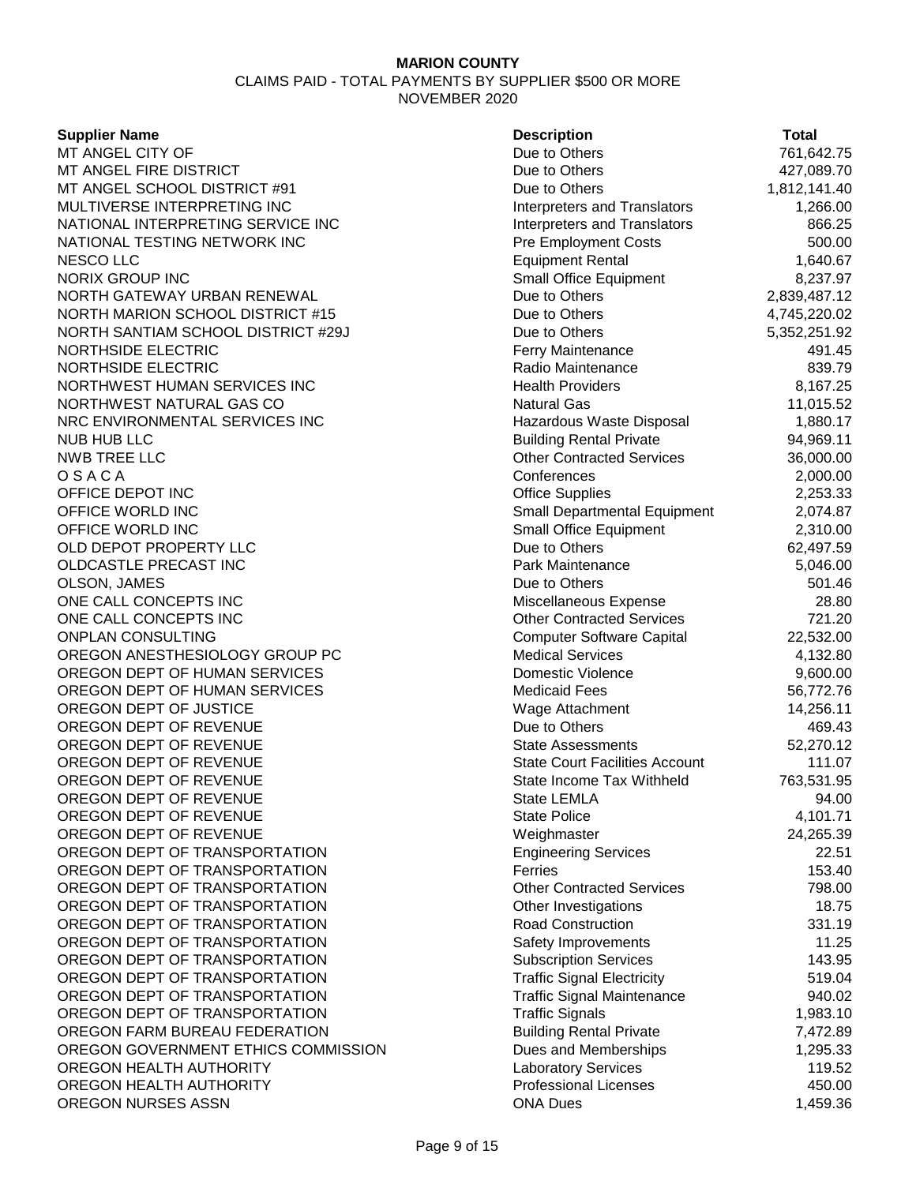| <b>Supplier Name</b>                | <b>Description</b>                         | <b>Total</b> |
|-------------------------------------|--------------------------------------------|--------------|
| MT ANGEL CITY OF                    | Due to Others                              | 761,642.75   |
| MT ANGEL FIRE DISTRICT              | Due to Others                              | 427,089.70   |
| MT ANGEL SCHOOL DISTRICT #91        | Due to Others                              | 1,812,141.40 |
| MULTIVERSE INTERPRETING INC         | Interpreters and Translators               | 1,266.00     |
| NATIONAL INTERPRETING SERVICE INC   | Interpreters and Translators               | 866.25       |
| NATIONAL TESTING NETWORK INC        | <b>Pre Employment Costs</b>                | 500.00       |
| <b>NESCO LLC</b>                    | <b>Equipment Rental</b>                    | 1,640.67     |
| <b>NORIX GROUP INC</b>              | <b>Small Office Equipment</b>              | 8,237.97     |
| NORTH GATEWAY URBAN RENEWAL         | Due to Others                              | 2,839,487.12 |
| NORTH MARION SCHOOL DISTRICT #15    | Due to Others                              | 4,745,220.02 |
| NORTH SANTIAM SCHOOL DISTRICT #29J  | Due to Others                              | 5,352,251.92 |
| <b>NORTHSIDE ELECTRIC</b>           | Ferry Maintenance                          | 491.45       |
| <b>NORTHSIDE ELECTRIC</b>           | Radio Maintenance                          | 839.79       |
| NORTHWEST HUMAN SERVICES INC        | <b>Health Providers</b>                    | 8,167.25     |
| NORTHWEST NATURAL GAS CO            | <b>Natural Gas</b>                         | 11,015.52    |
| NRC ENVIRONMENTAL SERVICES INC      | Hazardous Waste Disposal                   | 1,880.17     |
| <b>NUB HUB LLC</b>                  | <b>Building Rental Private</b>             | 94,969.11    |
| <b>NWB TREE LLC</b>                 | <b>Other Contracted Services</b>           | 36,000.00    |
| OSACA                               | Conferences                                | 2,000.00     |
| OFFICE DEPOT INC                    | <b>Office Supplies</b>                     | 2,253.33     |
| OFFICE WORLD INC                    | Small Departmental Equipment               | 2,074.87     |
| OFFICE WORLD INC                    | Small Office Equipment                     | 2,310.00     |
| OLD DEPOT PROPERTY LLC              | Due to Others                              | 62,497.59    |
| OLDCASTLE PRECAST INC               | Park Maintenance                           | 5,046.00     |
| OLSON, JAMES                        | Due to Others                              | 501.46       |
| ONE CALL CONCEPTS INC               | Miscellaneous Expense                      | 28.80        |
| ONE CALL CONCEPTS INC               | <b>Other Contracted Services</b>           | 721.20       |
| <b>ONPLAN CONSULTING</b>            | <b>Computer Software Capital</b>           | 22,532.00    |
| OREGON ANESTHESIOLOGY GROUP PC      | <b>Medical Services</b>                    | 4,132.80     |
| OREGON DEPT OF HUMAN SERVICES       | Domestic Violence                          | 9,600.00     |
| OREGON DEPT OF HUMAN SERVICES       | <b>Medicaid Fees</b>                       | 56,772.76    |
| OREGON DEPT OF JUSTICE              | Wage Attachment                            | 14,256.11    |
| OREGON DEPT OF REVENUE              | Due to Others                              | 469.43       |
| OREGON DEPT OF REVENUE              | <b>State Assessments</b>                   | 52,270.12    |
| OREGON DEPT OF REVENUE              | <b>State Court Facilities Account</b>      | 111.07       |
| OREGON DEPT OF REVENUE              | State Income Tax Withheld                  | 763,531.95   |
| OREGON DEPT OF REVENUE              | State LEMLA                                | 94.00        |
| OREGON DEPT OF REVENUE              | <b>State Police</b>                        | 4,101.71     |
| OREGON DEPT OF REVENUE              |                                            | 24,265.39    |
| OREGON DEPT OF TRANSPORTATION       | Weighmaster<br><b>Engineering Services</b> | 22.51        |
| OREGON DEPT OF TRANSPORTATION       | Ferries                                    | 153.40       |
| OREGON DEPT OF TRANSPORTATION       | <b>Other Contracted Services</b>           | 798.00       |
| OREGON DEPT OF TRANSPORTATION       |                                            |              |
| OREGON DEPT OF TRANSPORTATION       | Other Investigations                       | 18.75        |
|                                     | <b>Road Construction</b>                   | 331.19       |
| OREGON DEPT OF TRANSPORTATION       | Safety Improvements                        | 11.25        |
| OREGON DEPT OF TRANSPORTATION       | <b>Subscription Services</b>               | 143.95       |
| OREGON DEPT OF TRANSPORTATION       | <b>Traffic Signal Electricity</b>          | 519.04       |
| OREGON DEPT OF TRANSPORTATION       | <b>Traffic Signal Maintenance</b>          | 940.02       |
| OREGON DEPT OF TRANSPORTATION       | <b>Traffic Signals</b>                     | 1,983.10     |
| OREGON FARM BUREAU FEDERATION       | <b>Building Rental Private</b>             | 7,472.89     |
| OREGON GOVERNMENT ETHICS COMMISSION | Dues and Memberships                       | 1,295.33     |
| OREGON HEALTH AUTHORITY             | <b>Laboratory Services</b>                 | 119.52       |
| OREGON HEALTH AUTHORITY             | <b>Professional Licenses</b>               | 450.00       |
| OREGON NURSES ASSN                  | <b>ONA Dues</b>                            | 1,459.36     |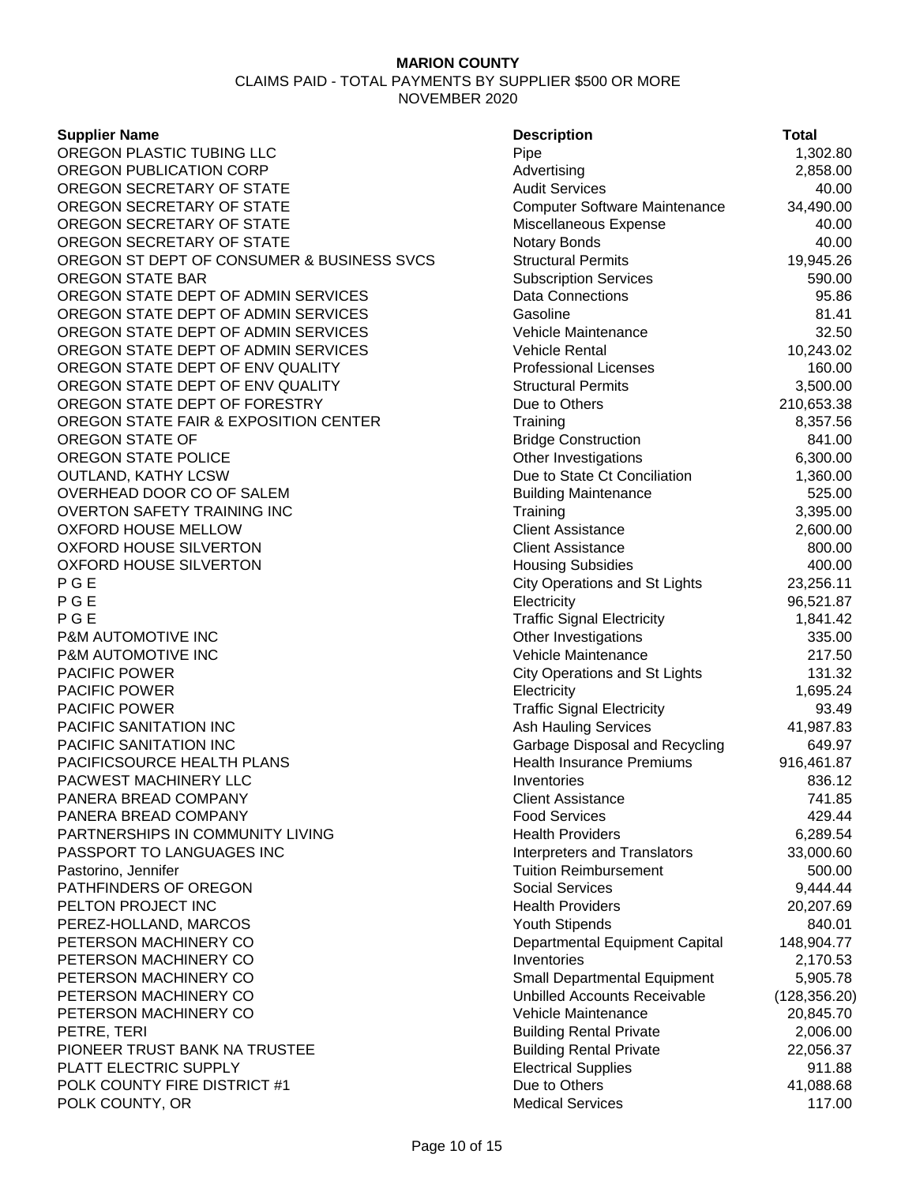CLAIMS PAID - TOTAL PAYMENTS BY SUPPLIER \$500 OR MORE NOVEMBER 2020

#### **Supplier Name**

OREGON PLASTIC TUBING LLC OREGON PUBLICATION CORP OREGON SECRETARY OF STATE OREGON SECRETARY OF STATE OREGON SECRETARY OF STATE OREGON SECRETARY OF STATE OREGON ST DEPT OF CONSUMER & BUSINESS SVCS. OREGON STATE BAR OREGON STATE DEPT OF ADMIN SERVICES OREGON STATE DEPT OF ADMIN SERVICES OREGON STATE DEPT OF ADMIN SERVICES OREGON STATE DEPT OF ADMIN SERVICES OREGON STATE DEPT OF ENV QUALITY OREGON STATE DEPT OF ENV QUALITY OREGON STATE DEPT OF FORESTRY OREGON STATE FAIR & EXPOSITION CENTER OREGON STATE OF OREGON STATE POLICE OUTLAND, KATHY LCSW OVERHEAD DOOR CO OF SALEM OVERTON SAFETY TRAINING INC **OXFORD HOUSE MELLOW** OXFORD HOUSE SILVERTON OXFORD HOUSE SILVERTON P G E City Operations and St Lights 23,256.11 P G E Electricity 96,521.87 P G E Traffic Signal Electricity 1,841.42 P&M AUTOMOTIVE INC **P&M AUTOMOTIVE INC** PACIFIC POWER **PACIFIC POWER** PACIFIC POWER **PACIFIC SANITATION INC** PACIFIC SANITATION INC PACIFICSOURCE HEALTH PLANS PACWEST MACHINERY LLC PANERA BREAD COMPANY PANERA BREAD COMPANY PARTNERSHIPS IN COMMUNITY LIVING PASSPORT TO LANGUAGES INC Pastorino, Jennifer PATHFINDERS OF OREGON PELTON PROJECT INC PEREZ-HOLLAND, MARCOS PETERSON MACHINERY CO PETERSON MACHINERY CO PETERSON MACHINERY CO PETERSON MACHINERY CO PETERSON MACHINERY CO PETRE, TERI Building Rental Private 2,006.00 PIONEER TRUST BANK NA TRUSTEE PLATT ELECTRIC SUPPLY POLK COUNTY FIRE DISTRICT #1 POLK COUNTY, OR

| <b>Description</b>                                                  | <b>Total</b>         |
|---------------------------------------------------------------------|----------------------|
| Pipe                                                                | 1,302.80             |
| Advertising                                                         | 2,858.00             |
| <b>Audit Services</b>                                               | 40.00                |
| Computer Software Maintenance                                       | 34,490.00            |
| Miscellaneous Expense                                               | 40.00                |
| Notary Bonds                                                        | 40.00                |
| <b>Structural Permits</b>                                           | 19,945.26            |
| <b>Subscription Services</b>                                        | 590.00               |
| <b>Data Connections</b>                                             | 95.86                |
| Gasoline                                                            | 81.41                |
| Vehicle Maintenance                                                 | 32.50                |
| <b>Vehicle Rental</b>                                               | 10,243.02            |
| <b>Professional Licenses</b>                                        | 160.00               |
| <b>Structural Permits</b>                                           | 3,500.00             |
| Due to Others                                                       | 210,653.38           |
| Training                                                            | 8,357.56             |
| <b>Bridge Construction</b>                                          | 841.00               |
| Other Investigations                                                | 6,300.00             |
| Due to State Ct Conciliation                                        | 1,360.00             |
| <b>Building Maintenance</b>                                         | 525.00               |
| Training                                                            | 3,395.00             |
| <b>Client Assistance</b>                                            | 2,600.00             |
| <b>Client Assistance</b>                                            | 800.00               |
| <b>Housing Subsidies</b>                                            | 400.00               |
| <b>City Operations and St Lights</b>                                | 23,256.11            |
| Electricity                                                         | 96,521.87            |
| <b>Traffic Signal Electricity</b>                                   | 1,841.42             |
| Other Investigations                                                | 335.00               |
| Vehicle Maintenance                                                 | 217.50               |
| <b>City Operations and St Lights</b>                                | 131.32               |
| Electricity                                                         | 1,695.24             |
| <b>Traffic Signal Electricity</b>                                   | 93.49                |
| <b>Ash Hauling Services</b>                                         | 41,987.83            |
| Garbage Disposal and Recycling                                      | 649.97               |
| <b>Health Insurance Premiums</b>                                    | 916,461.87           |
| Inventories                                                         | 836.12               |
| <b>Client Assistance</b>                                            | 741.85               |
| <b>Food Services</b>                                                | 429.44               |
| <b>Health Providers</b>                                             | 6,289.54             |
| <b>Interpreters and Translators</b>                                 | 33,000.60            |
| <b>Tuition Reimbursement</b>                                        | 500.00               |
| <b>Social Services</b>                                              | 9,444.44             |
| <b>Health Providers</b>                                             | 20,207.69            |
| <b>Youth Stipends</b>                                               | 840.01               |
| Departmental Equipment Capital<br>Inventories                       | 148,904.77           |
|                                                                     | 2,170.53<br>5,905.78 |
| Small Departmental Equipment<br><b>Unbilled Accounts Receivable</b> |                      |
|                                                                     | (128, 356.20)        |
| Vehicle Maintenance                                                 | 20,845.70            |
| <b>Building Rental Private</b><br><b>Building Rental Private</b>    | 2,006.00             |
| <b>Electrical Supplies</b>                                          | 22,056.37            |
| Due to Others                                                       | 911.88<br>41,088.68  |
| <b>Medical Services</b>                                             | 117.00               |
|                                                                     |                      |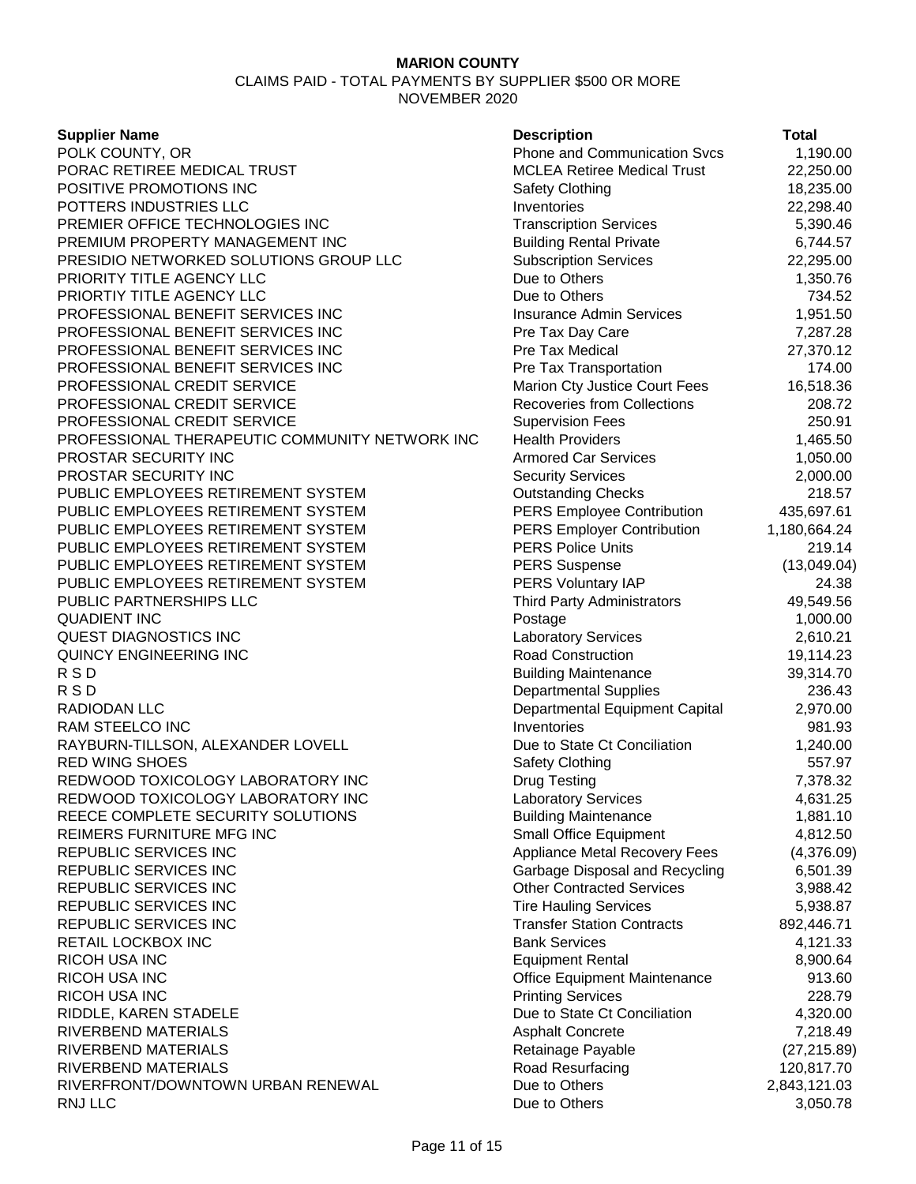CLAIMS PAID - TOTAL PAYMENTS BY SUPPLIER \$500 OR MORE NOVEMBER 2020

#### **Supplier Name**

POLK COUNTY, OR PORAC RETIREE MEDICAL TRUST POSITIVE PROMOTIONS INC POTTERS INDUSTRIES LLC PREMIER OFFICE TECHNOLOGIES INC PREMIUM PROPERTY MANAGEMENT INC PRESIDIO NETWORKED SOLUTIONS GROUP LLC PRIORITY TITLE AGENCY LLC PRIORTIY TITLE AGENCY LLC PROFESSIONAL BENEFIT SERVICES INC PROFESSIONAL BENEFIT SERVICES INC PROFESSIONAL BENEFIT SERVICES INC PROFESSIONAL BENEFIT SERVICES INC PROFESSIONAL CREDIT SERVICE PROFESSIONAL CREDIT SERVICE PROFESSIONAL CREDIT SERVICE PROFESSIONAL THERAPEUTIC COMMUNITY NETWORK INC PROSTAR SECURITY INC PROSTAR SECURITY INC PUBLIC EMPLOYEES RETIREMENT SYSTEM PUBLIC EMPLOYEES RETIREMENT SYSTEM PUBLIC EMPLOYEES RETIREMENT SYSTEM PUBLIC EMPLOYEES RETIREMENT SYSTEM PUBLIC EMPLOYEES RETIREMENT SYSTEM PUBLIC EMPLOYEES RETIREMENT SYSTEM PUBLIC PARTNERSHIPS LLC QUADIENT INC QUEST DIAGNOSTICS INC QUINCY ENGINEERING INC R S D Building Maintenance 39,314.70 R S D Departmental Supplies 236.43 RADIODAN LLC RAM STEELCO INC RAYBURN-TILLSON, ALEXANDER LOVELL **RED WING SHOES** REDWOOD TOXICOLOGY LABORATORY INC REDWOOD TOXICOLOGY LABORATORY INC REECE COMPLETE SECURITY SOLUTIONS REIMERS FURNITURE MFG INC REPUBLIC SERVICES INC REPUBLIC SERVICES INC REPUBLIC SERVICES INC REPUBLIC SERVICES INC REPUBLIC SERVICES INC RETAIL LOCKBOX INC **RICOH USA INC** RICOH USA INC RICOH USA INC RIDDLE, KAREN STADELE RIVERBEND MATERIALS RIVERBEND MATERIALS RIVERBEND MATERIALS RIVERFRONT/DOWNTOWN URBAN RENEWAL RNJ LLC 3,050.78

| <b>Description</b>                                             | Total                      |
|----------------------------------------------------------------|----------------------------|
| <b>Phone and Communication Svcs</b>                            | 1,190.00                   |
| <b>MCLEA Retiree Medical Trust</b>                             | 22,250.00                  |
| Safety Clothing                                                | 18,235.00                  |
| Inventories                                                    | 22,298.40                  |
| <b>Transcription Services</b>                                  | 5,390.46                   |
| <b>Building Rental Private</b>                                 | 6,744.57                   |
| <b>Subscription Services</b>                                   | 22,295.00                  |
| Due to Others                                                  | 1,350.76                   |
| Due to Others                                                  | 734.52                     |
| <b>Insurance Admin Services</b>                                | 1,951.50                   |
| Pre Tax Day Care                                               | 7,287.28                   |
| <b>Pre Tax Medical</b>                                         | 27,370.12                  |
| Pre Tax Transportation                                         | 174.00                     |
| Marion Cty Justice Court Fees                                  | 16,518.36                  |
| <b>Recoveries from Collections</b>                             | 208.72                     |
| <b>Supervision Fees</b>                                        | 250.91                     |
| <b>Health Providers</b>                                        | 1,465.50                   |
| <b>Armored Car Services</b>                                    | 1,050.00                   |
| <b>Security Services</b>                                       | 2,000.00                   |
| <b>Outstanding Checks</b>                                      | 218.57                     |
| <b>PERS Employee Contribution</b>                              | 435,697.61                 |
| <b>PERS Employer Contribution</b>                              | 1,180,664.24               |
| <b>PERS Police Units</b>                                       | 219.14                     |
| <b>PERS Suspense</b>                                           | (13,049.04)                |
| PERS Voluntary IAP                                             | 24.38                      |
| <b>Third Party Administrators</b>                              | 49,549.56                  |
|                                                                |                            |
| Postage<br><b>Laboratory Services</b>                          | 1,000.00<br>2,610.21       |
| <b>Road Construction</b>                                       | 19,114.23                  |
| <b>Building Maintenance</b>                                    | 39,314.70                  |
|                                                                | 236.43                     |
| <b>Departmental Supplies</b><br>Departmental Equipment Capital | 2,970.00                   |
| Inventories                                                    | 981.93                     |
| Due to State Ct Conciliation                                   | 1,240.00                   |
| Safety Clothing                                                | 557.97                     |
| <b>Drug Testing</b>                                            | 7,378.32                   |
| <b>Laboratory Services</b>                                     | 4,631.25                   |
| <b>Building Maintenance</b>                                    | 1,881.10                   |
| <b>Small Office Equipment</b>                                  | 4,812.50                   |
| <b>Appliance Metal Recovery Fees</b>                           | (4,376.09)                 |
| Garbage Disposal and Recycling                                 | 6,501.39                   |
| <b>Other Contracted Services</b>                               | 3,988.42                   |
| <b>Tire Hauling Services</b>                                   | 5,938.87                   |
| <b>Transfer Station Contracts</b>                              | 892,446.71                 |
| <b>Bank Services</b>                                           | 4,121.33                   |
| <b>Equipment Rental</b>                                        | 8,900.64                   |
| Office Equipment Maintenance                                   | 913.60                     |
| <b>Printing Services</b>                                       | 228.79                     |
| Due to State Ct Conciliation                                   |                            |
| <b>Asphalt Concrete</b>                                        | 4,320.00<br>7,218.49       |
|                                                                |                            |
| Retainage Payable<br>Road Resurfacing                          | (27, 215.89)<br>120,817.70 |
| Due to Others                                                  | 2,843,121.03               |
| Due to Others                                                  | 3,050.78                   |
|                                                                |                            |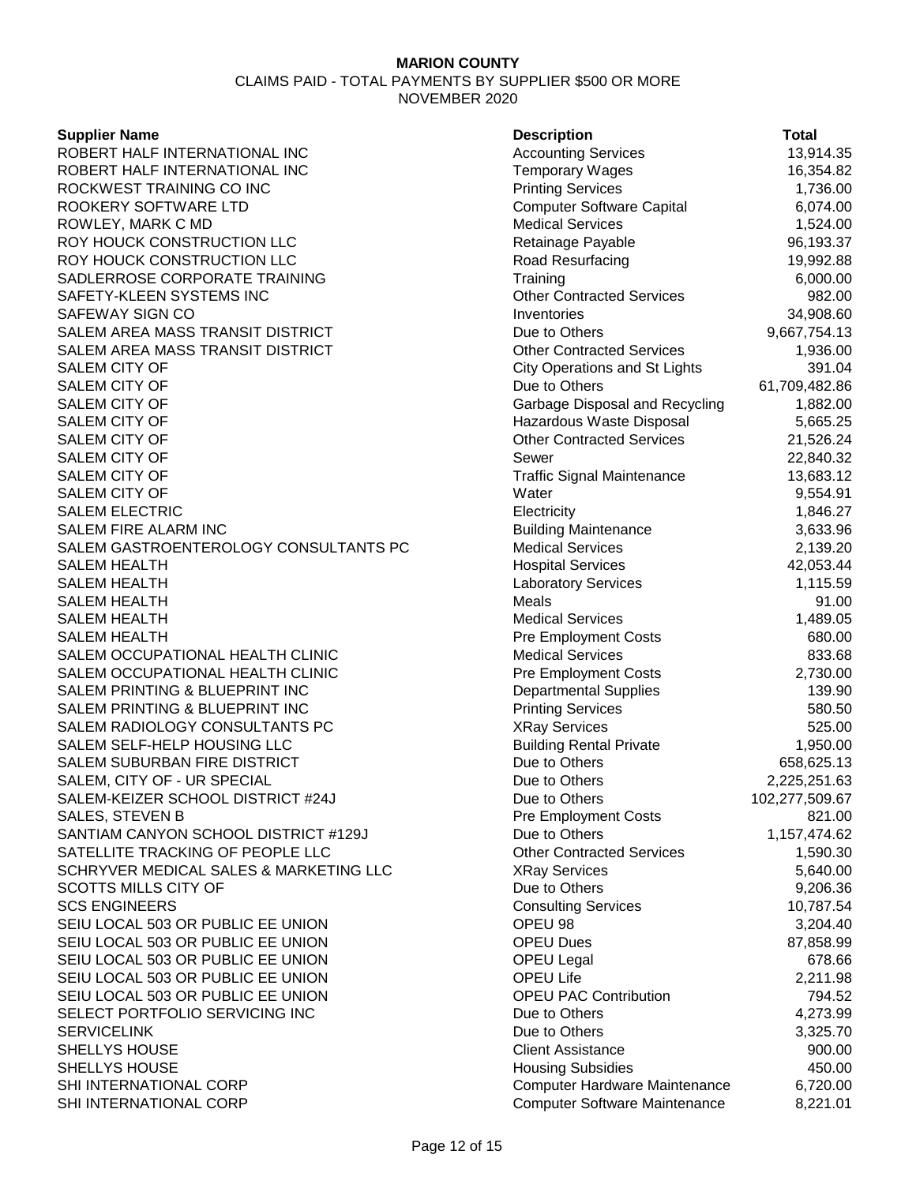CLAIMS PAID - TOTAL PAYMENTS BY SUPPLIER \$500 OR MORE NOVEMBER 2020

#### **Supplier Name**

ROBERT HALF INTERNATIONAL INC ROBERT HALF INTERNATIONAL INC ROCKWEST TRAINING CO INC ROOKERY SOFTWARE LTD ROWLEY, MARK C MD ROY HOUCK CONSTRUCTION LLC ROY HOUCK CONSTRUCTION LLC SADLERROSE CORPORATE TRAINING SAFETY-KLEEN SYSTEMS INC SAFEWAY SIGN CO SALEM AREA MASS TRANSIT DISTRICT SALEM AREA MASS TRANSIT DISTRICT SALEM CITY OF GILL CONTROLLER STATES AND RESIDENT City Operations and St Lights 391.04 SALEM CITY OF SALEM CITY OF SALEM CITY OF SALEM CITY OF SALEM CITY OF SALEM CITY OF **SALEM CITY OF SALEM ELECTRIC** SALEM FIRE ALARM INC SALEM GASTROENTEROLOGY CONSULTANTS PC SALEM HEALTH SALEM HEALTH **SALEM HEALTH** SALEM HEALTH SALEM HEALTH SALEM OCCUPATIONAL HEALTH CLINIC SALEM OCCUPATIONAL HEALTH CLINIC SALEM PRINTING & BLUEPRINT INC SALEM PRINTING & BLUEPRINT INC SALEM RADIOLOGY CONSULTANTS PC SALEM SELF-HELP HOUSING LLC SALEM SUBURBAN FIRE DISTRICT SALEM, CITY OF - UR SPECIAL SALEM-KEIZER SCHOOL DISTRICT #24J SALES, STEVEN B SANTIAM CANYON SCHOOL DISTRICT #129J SATELLITE TRACKING OF PEOPLE LLC SCHRYVER MEDICAL SALES & MARKETING LLC SCOTTS MILLS CITY OF **SCS ENGINEERS** SEIU LOCAL 503 OR PUBLIC EE UNION SEIU LOCAL 503 OR PUBLIC EE UNION SEIU LOCAL 503 OR PUBLIC EE UNION SEIU LOCAL 503 OR PUBLIC EE UNION SEIU LOCAL 503 OR PUBLIC EE UNION SELECT PORTFOLIO SERVICING INC **SERVICELINK SHELLYS HOUSE** SHELLYS HOUSE SHI INTERNATIONAL CORP SHI INTERNATIONAL CORP

| <b>Description</b>                   | Total          |
|--------------------------------------|----------------|
| <b>Accounting Services</b>           | 13,914.35      |
| <b>Temporary Wages</b>               | 16,354.82      |
| <b>Printing Services</b>             | 1,736.00       |
| <b>Computer Software Capital</b>     | 6,074.00       |
| <b>Medical Services</b>              | 1,524.00       |
| Retainage Payable                    | 96,193.37      |
| Road Resurfacing                     | 19,992.88      |
| Training                             | 6,000.00       |
| <b>Other Contracted Services</b>     | 982.00         |
| Inventories                          | 34,908.60      |
| Due to Others                        | 9,667,754.13   |
| <b>Other Contracted Services</b>     | 1,936.00       |
| <b>City Operations and St Lights</b> | 391.04         |
| Due to Others                        | 61,709,482.86  |
| Garbage Disposal and Recycling       | 1,882.00       |
| Hazardous Waste Disposal             | 5,665.25       |
| <b>Other Contracted Services</b>     | 21,526.24      |
| Sewer                                | 22,840.32      |
| <b>Traffic Signal Maintenance</b>    | 13,683.12      |
| Water                                | 9,554.91       |
| Electricity                          | 1,846.27       |
| <b>Building Maintenance</b>          | 3,633.96       |
| <b>Medical Services</b>              | 2,139.20       |
| <b>Hospital Services</b>             | 42,053.44      |
| <b>Laboratory Services</b>           | 1,115.59       |
| Meals                                | 91.00          |
| <b>Medical Services</b>              | 1,489.05       |
| <b>Pre Employment Costs</b>          | 680.00         |
| <b>Medical Services</b>              | 833.68         |
| <b>Pre Employment Costs</b>          | 2,730.00       |
| <b>Departmental Supplies</b>         | 139.90         |
| <b>Printing Services</b>             | 580.50         |
| <b>XRay Services</b>                 | 525.00         |
| <b>Building Rental Private</b>       | 1,950.00       |
| Due to Others                        | 658,625.13     |
| Due to Others                        | 2,225,251.63   |
| Due to Others                        | 102,277,509.67 |
| <b>Pre Employment Costs</b>          | 821.00         |
| Due to Others                        | 1,157,474.62   |
| <b>Other Contracted Services</b>     | 1,590.30       |
| <b>XRay Services</b>                 | 5,640.00       |
| Due to Others                        | 9,206.36       |
| <b>Consulting Services</b>           | 10,787.54      |
| OPEU 98                              | 3,204.40       |
| <b>OPEU Dues</b>                     | 87,858.99      |
| <b>OPEU Legal</b>                    | 678.66         |
| <b>OPEU Life</b>                     | 2,211.98       |
| <b>OPEU PAC Contribution</b>         | 794.52         |
| Due to Others                        | 4,273.99       |
| Due to Others                        | 3,325.70       |
| <b>Client Assistance</b>             | 900.00         |
| <b>Housing Subsidies</b>             | 450.00         |
| Computer Hardware Maintenance        | 6,720.00       |
| <b>Computer Software Maintenance</b> | 8,221.01       |
|                                      |                |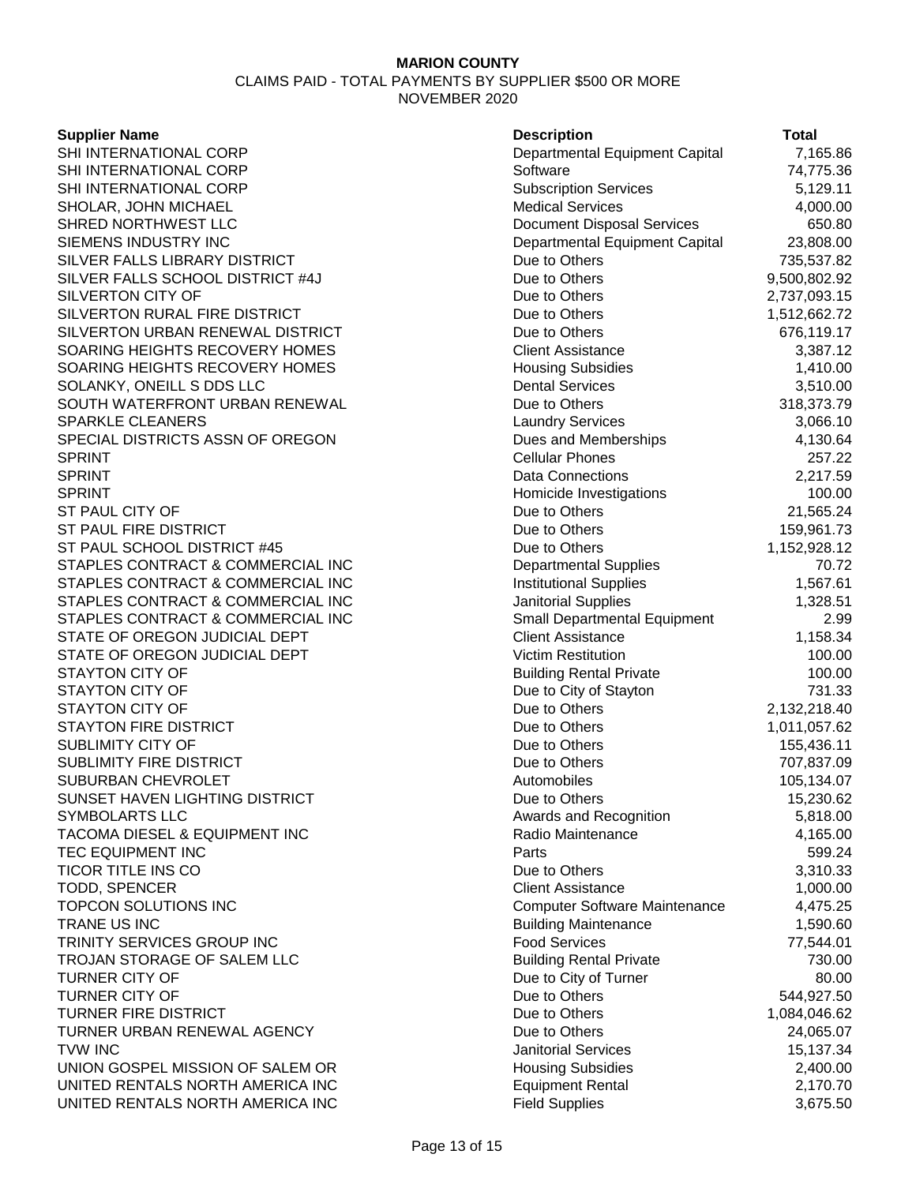CLAIMS PAID - TOTAL PAYMENTS BY SUPPLIER \$500 OR MORE NOVEMBER 2020

#### **Supplier Name**

| <b>Supplier Name</b>                                 | <b>Description</b>                | <b>Total</b> |
|------------------------------------------------------|-----------------------------------|--------------|
| SHI INTERNATIONAL CORP                               | Departmental Equipment Capital    | 7,165.86     |
| SHI INTERNATIONAL CORP                               | Software                          | 74,775.36    |
| SHI INTERNATIONAL CORP                               | <b>Subscription Services</b>      | 5,129.11     |
| SHOLAR, JOHN MICHAEL                                 | <b>Medical Services</b>           | 4,000.00     |
| SHRED NORTHWEST LLC                                  | <b>Document Disposal Services</b> | 650.80       |
| SIEMENS INDUSTRY INC                                 | Departmental Equipment Capital    | 23,808.00    |
| SILVER FALLS LIBRARY DISTRICT                        | Due to Others                     | 735,537.82   |
| SILVER FALLS SCHOOL DISTRICT #4J                     | Due to Others                     | 9,500,802.92 |
| <b>SILVERTON CITY OF</b>                             | Due to Others                     | 2,737,093.15 |
| SILVERTON RURAL FIRE DISTRICT                        | Due to Others                     | 1,512,662.72 |
| SILVERTON URBAN RENEWAL DISTRICT                     | Due to Others                     | 676,119.17   |
| SOARING HEIGHTS RECOVERY HOMES                       | <b>Client Assistance</b>          | 3,387.12     |
| SOARING HEIGHTS RECOVERY HOMES                       | <b>Housing Subsidies</b>          | 1,410.00     |
| SOLANKY, ONEILL S DDS LLC                            | <b>Dental Services</b>            | 3,510.00     |
| SOUTH WATERFRONT URBAN RENEWAL                       | Due to Others                     | 318,373.79   |
| <b>SPARKLE CLEANERS</b>                              | <b>Laundry Services</b>           | 3,066.10     |
| SPECIAL DISTRICTS ASSN OF OREGON                     | Dues and Memberships              | 4,130.64     |
| SPRINT                                               | <b>Cellular Phones</b>            | 257.22       |
| SPRINT                                               | Data Connections                  | 2,217.59     |
| SPRINT                                               | Homicide Investigations           | 100.00       |
| ST PAUL CITY OF                                      | Due to Others                     | 21,565.24    |
| ST PAUL FIRE DISTRICT                                | Due to Others                     | 159,961.73   |
| ST PAUL SCHOOL DISTRICT #45                          | Due to Others                     | 1,152,928.12 |
| STAPLES CONTRACT & COMMERCIAL INC                    | <b>Departmental Supplies</b>      | 70.72        |
| STAPLES CONTRACT & COMMERCIAL INC                    | <b>Institutional Supplies</b>     | 1,567.61     |
| STAPLES CONTRACT & COMMERCIAL INC                    | Janitorial Supplies               | 1,328.51     |
| STAPLES CONTRACT & COMMERCIAL INC                    | Small Departmental Equipment      | 2.99         |
| STATE OF OREGON JUDICIAL DEPT                        | <b>Client Assistance</b>          | 1,158.34     |
| STATE OF OREGON JUDICIAL DEPT                        | <b>Victim Restitution</b>         | 100.00       |
| <b>STAYTON CITY OF</b>                               | <b>Building Rental Private</b>    | 100.00       |
| <b>STAYTON CITY OF</b>                               | Due to City of Stayton            | 731.33       |
| <b>STAYTON CITY OF</b>                               | Due to Others                     |              |
| <b>STAYTON FIRE DISTRICT</b>                         | Due to Others                     | 2,132,218.40 |
| SUBLIMITY CITY OF                                    | Due to Others                     | 1,011,057.62 |
| SUBLIMITY FIRE DISTRICT                              | Due to Others                     | 155,436.11   |
|                                                      |                                   | 707,837.09   |
| SUBURBAN CHEVROLET<br>SUNSET HAVEN LIGHTING DISTRICT | Automobiles                       | 105,134.07   |
|                                                      | Due to Others                     | 15,230.62    |
| SYMBOLARTS LLC                                       | Awards and Recognition            | 5,818.00     |
| TACOMA DIESEL & EQUIPMENT INC                        | Radio Maintenance                 | 4,165.00     |
| TEC EQUIPMENT INC                                    | Parts                             | 599.24       |
| TICOR TITLE INS CO                                   | Due to Others                     | 3,310.33     |
| TODD, SPENCER                                        | <b>Client Assistance</b>          | 1,000.00     |
| TOPCON SOLUTIONS INC                                 | Computer Software Maintenance     | 4,475.25     |
| TRANE US INC                                         | <b>Building Maintenance</b>       | 1,590.60     |
| TRINITY SERVICES GROUP INC                           | <b>Food Services</b>              | 77,544.01    |
| TROJAN STORAGE OF SALEM LLC                          | <b>Building Rental Private</b>    | 730.00       |
| TURNER CITY OF                                       | Due to City of Turner             | 80.00        |
| TURNER CITY OF                                       | Due to Others                     | 544,927.50   |
| TURNER FIRE DISTRICT                                 | Due to Others                     | 1,084,046.62 |
| TURNER URBAN RENEWAL AGENCY                          | Due to Others                     | 24,065.07    |
| <b>TVW INC</b>                                       | <b>Janitorial Services</b>        | 15,137.34    |
| UNION GOSPEL MISSION OF SALEM OR                     | <b>Housing Subsidies</b>          | 2,400.00     |
| UNITED RENTALS NORTH AMERICA INC                     | <b>Equipment Rental</b>           | 2,170.70     |
| UNITED RENTALS NORTH AMERICA INC                     | <b>Field Supplies</b>             | 3,675.50     |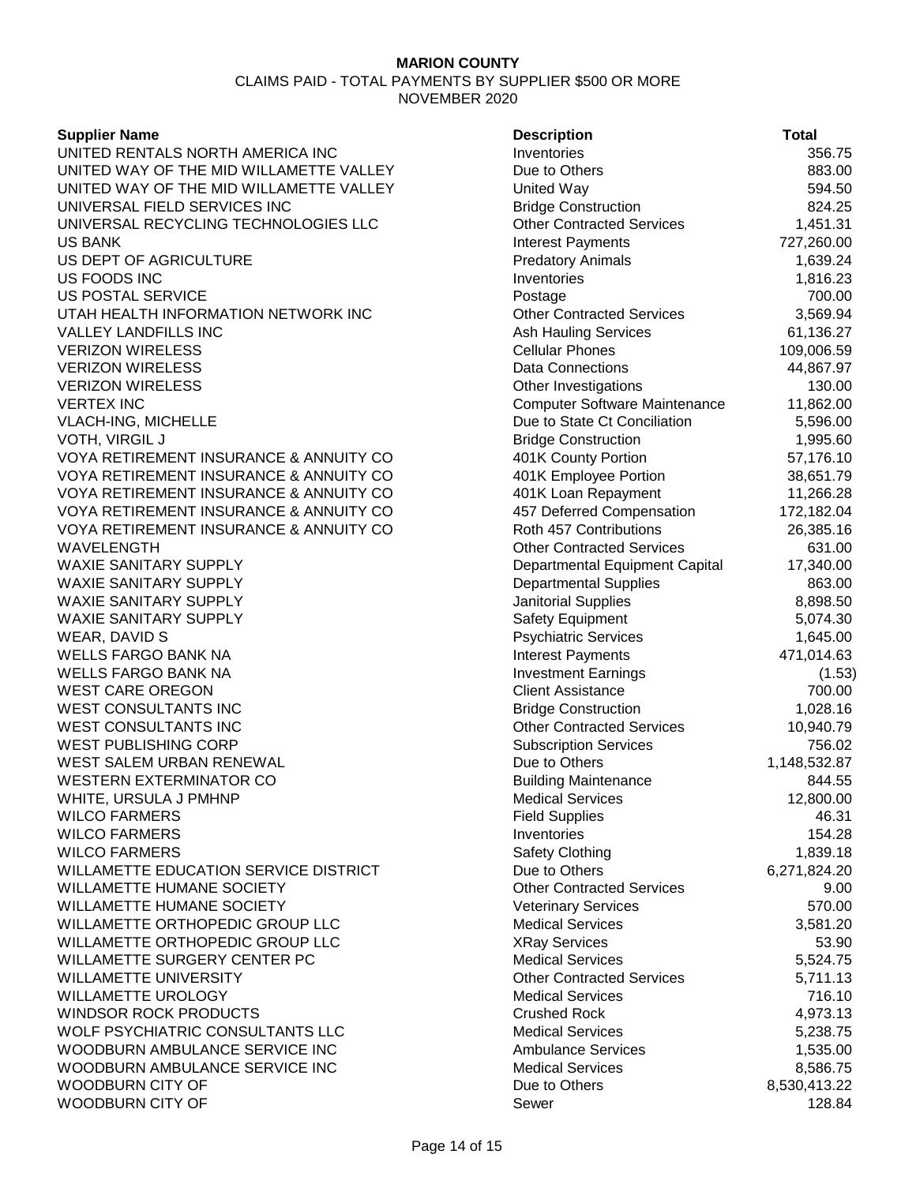#### **Supplier Name**

UNITED RENTALS NORTH AMERICA INC UNITED WAY OF THE MID WILLAMETTE VALLEY UNITED WAY OF THE MID WILLAMETTE VALLEY UNIVERSAL FIELD SERVICES INC UNIVERSAL RECYCLING TECHNOLOGIES LLC US BANK Interest Payments 727,260.00 US DEPT OF AGRICULTURE US FOODS INC **US POSTAL SERVICE** UTAH HEALTH INFORMATION NETWORK INC VALLEY LANDFILLS INC VERIZON WIRELESS **VERIZON WIRELESS VERIZON WIRELESS** VERTEX INC Computer Software Maintenance 11,862.00 VLACH-ING, MICHELLE VOTH, VIRGIL J VOYA RETIREMENT INSURANCE & ANNUITY CO VOYA RETIREMENT INSURANCE & ANNUITY CO VOYA RETIREMENT INSURANCE & ANNUITY CO VOYA RETIREMENT INSURANCE & ANNUITY CO VOYA RETIREMENT INSURANCE & ANNUITY CO WAVELENGTH WAXIE SANITARY SUPPLY WAXIE SANITARY SUPPLY WAXIE SANITARY SUPPLY WAXIE SANITARY SUPPLY WEAR, DAVID S WELLS FARGO BANK NA WELLS FARGO BANK NA WEST CARE OREGON WEST CONSULTANTS INC WEST CONSULTANTS INC WEST PUBLISHING CORP WEST SALEM URBAN RENEWAL WESTERN EXTERMINATOR CO WHITE, URSULA J PMHNP **WILCO FARMERS WILCO FARMERS WILCO FARMERS** WILLAMETTE EDUCATION SERVICE DISTRICT WILLAMETTE HUMANE SOCIETY WILLAMETTE HUMANE SOCIETY WILLAMETTE ORTHOPEDIC GROUP LLC WILLAMETTE ORTHOPEDIC GROUP LLC WILLAMETTE SURGERY CENTER PC WILLAMETTE UNIVERSITY WILLAMETTE UROLOGY WINDSOR ROCK PRODUCTS WOLF PSYCHIATRIC CONSULTANTS LLC WOODBURN AMBULANCE SERVICE INC WOODBURN AMBULANCE SERVICE INC WOODBURN CITY OF WOODBURN CITY OF

| <b>Description</b>                              | <b>Total</b>       |
|-------------------------------------------------|--------------------|
| Inventories                                     | 356.75             |
| Due to Others                                   | 883.00             |
| United Way                                      | 594.50             |
| <b>Bridge Construction</b>                      | 824.25             |
| <b>Other Contracted Services</b>                | 1,451.31           |
| <b>Interest Payments</b>                        | 727,260.00         |
| <b>Predatory Animals</b>                        | 1,639.24           |
| Inventories                                     | 1,816.23           |
| Postage                                         | 700.00             |
| <b>Other Contracted Services</b>                | 3,569.94           |
| <b>Ash Hauling Services</b>                     | 61,136.27          |
| <b>Cellular Phones</b>                          | 109,006.59         |
| Data Connections                                | 44,867.97          |
| Other Investigations                            | 130.00             |
| <b>Computer Software Maintenance</b>            | 11,862.00          |
| Due to State Ct Conciliation                    | 5,596.00           |
| <b>Bridge Construction</b>                      | 1,995.60           |
| 401K County Portion                             | 57,176.10          |
| 401K Employee Portion                           | 38,651.79          |
| 401K Loan Repayment                             | 11,266.28          |
| 457 Deferred Compensation                       | 172,182.04         |
| Roth 457 Contributions                          | 26,385.16          |
| <b>Other Contracted Services</b>                | 631.00             |
| Departmental Equipment Capital                  | 17,340.00          |
| <b>Departmental Supplies</b>                    | 863.00             |
| Janitorial Supplies                             | 8,898.50           |
| Safety Equipment                                | 5,074.30           |
| <b>Psychiatric Services</b>                     | 1,645.00           |
| <b>Interest Payments</b>                        | 471,014.63         |
| <b>Investment Earnings</b>                      | (1.53)             |
| <b>Client Assistance</b>                        | 700.00             |
| <b>Bridge Construction</b>                      | 1,028.16           |
| <b>Other Contracted Services</b>                | 10,940.79          |
| <b>Subscription Services</b>                    | 756.02             |
| Due to Others                                   | 1,148,532.87       |
| <b>Building Maintenance</b>                     | 844.55             |
| <b>Medical Services</b>                         | 12,800.00          |
| <b>Field Supplies</b>                           | 46.31              |
| Inventories                                     | 154.28             |
| Safety Clothing                                 | 1,839.18           |
| Due to Others                                   | 6,271,824.20       |
| <b>Other Contracted Services</b>                | 9.00               |
| <b>Veterinary Services</b>                      | 570.00             |
| <b>Medical Services</b>                         | 3,581.20           |
|                                                 | 53.90              |
| <b>XRay Services</b><br><b>Medical Services</b> | 5,524.75           |
| <b>Other Contracted Services</b>                |                    |
| <b>Medical Services</b>                         | 5,711.13<br>716.10 |
|                                                 |                    |
| <b>Crushed Rock</b>                             | 4,973.13           |
| <b>Medical Services</b>                         | 5,238.75           |
| <b>Ambulance Services</b>                       | 1,535.00           |
| <b>Medical Services</b>                         | 8,586.75           |
| Due to Others                                   | 8,530,413.22       |
| Sewer                                           | 128.84             |